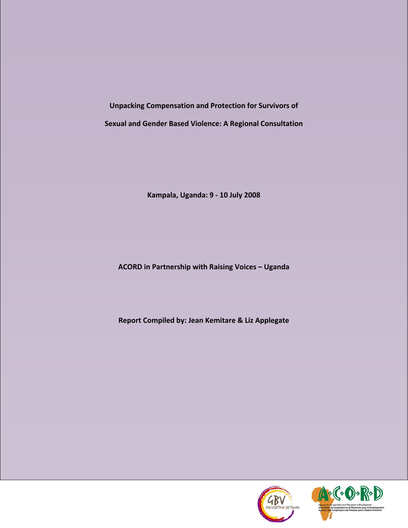**Unpacking Compensation and Protection for Survivors of Sexual and Gender Based Violence: A Regional Consultation**

**Kampala, Uganda: 9 ‐ 10 July 2008**

**ACORD in Partnership with Raising Voices – Uganda**

**Report Compiled by: Jean Kemitare & Liz Applegate**

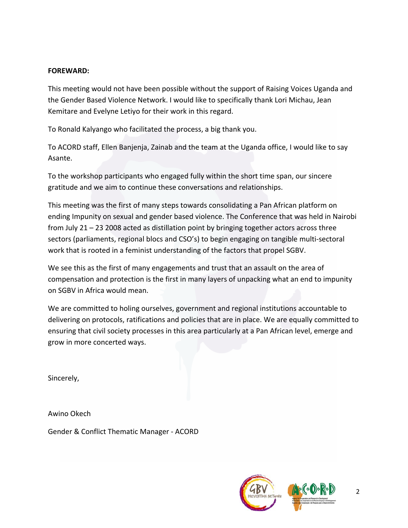# **FOREWARD:**

This meeting would not have been possible without the support of Raising Voices Uganda and the Gender Based Violence Network. I would like to specifically thank Lori Michau, Jean Kemitare and Evelyne Letiyo for their work in this regard.

To Ronald Kalyango who facilitated the process, a big thank you.

To ACORD staff, Ellen Banjenja, Zainab and the team at the Uganda office, I would like to say Asante.

To the workshop participants who engaged fully within the short time span, our sincere gratitude and we aim to continue these conversations and relationships.

This meeting was the first of many steps towards consolidating a Pan African platform on ending Impunity on sexual and gender based violence. The Conference that was held in Nairobi from July 21 – 23 2008 acted as distillation point by bringing together actors across three sectors (parliaments, regional blocs and CSO's) to begin engaging on tangible multi‐sectoral work that is rooted in a feminist understanding of the factors that propel SGBV.

We see this as the first of many engagements and trust that an assault on the area of compensation and protection is the first in many layers of unpacking what an end to impunity on SGBV in Africa would mean.

We are committed to holing ourselves, government and regional institutions accountable to delivering on protocols, ratifications and policies that are in place. We are equally committed to ensuring that civil society processes in this area particularly at a Pan African level, emerge and grow in more concerted ways.

Sincerely,

Awino Okech

Gender & Conflict Thematic Manager ‐ ACORD

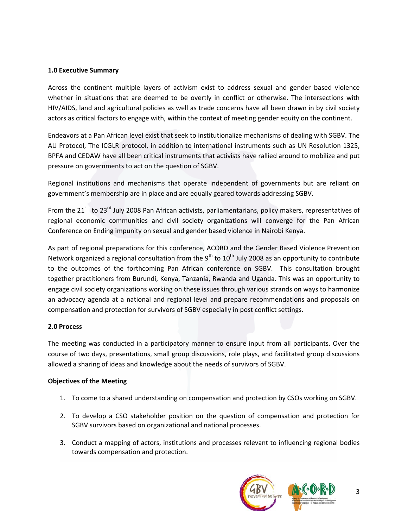#### **1.0 Executive Summary**

Across the continent multiple layers of activism exist to address sexual and gender based violence whether in situations that are deemed to be overtly in conflict or otherwise. The intersections with HIV/AIDS, land and agricultural policies as well as trade concerns have all been drawn in by civil society actors as critical factors to engage with, within the context of meeting gender equity on the continent.

Endeavors at a Pan African level exist that seek to institutionalize mechanisms of dealing with SGBV. The AU Protocol, The ICGLR protocol, in addition to international instruments such as UN Resolution 1325, BPFA and CEDAW have all been critical instruments that activists have rallied around to mobilize and put pressure on governments to act on the question of SGBV.

Regional institutions and mechanisms that operate independent of governments but are reliant on government's membership are in place and are equally geared towards addressing SGBV.

From the  $21^{st}$  to  $23^{rd}$  July 2008 Pan African activists, parliamentarians, policy makers, representatives of regional economic communities and civil society organizations will converge for the Pan African Conference on Ending impunity on sexual and gender based violence in Nairobi Kenya.

As part of regional preparations for this conference, ACORD and the Gender Based Violence Prevention Network organized a regional consultation from the  $9<sup>th</sup>$  to  $10<sup>th</sup>$  July 2008 as an opportunity to contribute to the outcomes of the forthcoming Pan African conference on SGBV. This consultation brought together practitioners from Burundi, Kenya, Tanzania, Rwanda and Uganda. This was an opportunity to engage civil society organizations working on these issues through various strands on ways to harmonize an advocacy agenda at a national and regional level and prepare recommendations and proposals on compensation and protection for survivors of SGBV especially in post conflict settings.

### **2.0 Process**

The meeting was conducted in a participatory manner to ensure input from all participants. Over the course of two days, presentations, small group discussions, role plays, and facilitated group discussions allowed a sharing of ideas and knowledge about the needs of survivors of SGBV.

#### **Objectives of the Meeting**

- 1. To come to a shared understanding on compensation and protection by CSOs working on SGBV.
- 2. To develop a CSO stakeholder position on the question of compensation and protection for SGBV survivors based on organizational and national processes.
- 3. Conduct a mapping of actors, institutions and processes relevant to influencing regional bodies towards compensation and protection.

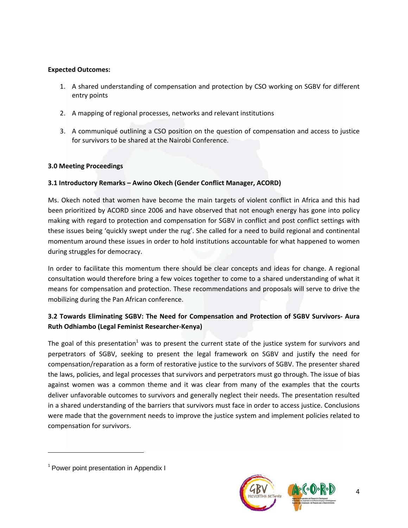## **Expected Outcomes:**

- 1. A shared understanding of compensation and protection by CSO working on SGBV for different entry points
- 2. A mapping of regional processes, networks and relevant institutions
- 3. A communiqué outlining a CSO position on the question of compensation and access to justice for survivors to be shared at the Nairobi Conference.

## **3.0 Meeting Proceedings**

# **3.1 Introductory Remarks – Awino Okech (Gender Conflict Manager, ACORD)**

Ms. Okech noted that women have become the main targets of violent conflict in Africa and this had been prioritized by ACORD since 2006 and have observed that not enough energy has gone into policy making with regard to protection and compensation for SGBV in conflict and post conflict settings with these issues being 'quickly swept under the rug'. She called for a need to build regional and continental momentum around these issues in order to hold institutions accountable for what happened to women during struggles for democracy.

In order to facilitate this momentum there should be clear concepts and ideas for change. A regional consultation would therefore bring a few voices together to come to a shared understanding of what it means for compensation and protection. These recommendations and proposals will serve to drive the mobilizing during the Pan African conference.

# **3.2 Towards Eliminating SGBV: The Need for Compensation and Protection of SGBV Survivors‐ Aura Ruth Odhiambo (Legal Feminist Researcher‐Kenya)**

The goal of this presentation<sup>1</sup> was to present the current state of the justice system for survivors and perpetrators of SGBV, seeking to present the legal framework on SGBV and justify the need for compensation/reparation as a form of restorative justice to the survivors of SGBV. The presenter shared the laws, policies, and legal processes that survivors and perpetrators must go through. The issue of bias against women was a common theme and it was clear from many of the examples that the courts deliver unfavorable outcomes to survivors and generally neglect their needs. The presentation resulted in a shared understanding of the barriers that survivors must face in order to access justice. Conclusions were made that the government needs to improve the justice system and implement policies related to compensation for survivors.



<sup>&</sup>lt;sup>1</sup> Power point presentation in Appendix I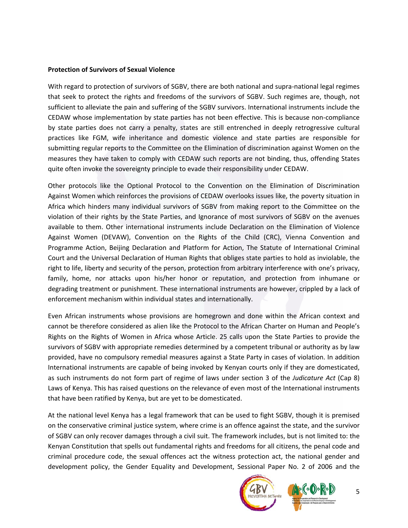#### **Protection of Survivors of Sexual Violence**

With regard to protection of survivors of SGBV, there are both national and supra-national legal regimes that seek to protect the rights and freedoms of the survivors of SGBV. Such regimes are, though, not sufficient to alleviate the pain and suffering of the SGBV survivors. International instruments include the CEDAW whose implementation by state parties has not been effective. This is because non‐compliance by state parties does not carry a penalty, states are still entrenched in deeply retrogressive cultural practices like FGM, wife inheritance and domestic violence and state parties are responsible for submitting regular reports to the Committee on the Elimination of discrimination against Women on the measures they have taken to comply with CEDAW such reports are not binding, thus, offending States quite often invoke the sovereignty principle to evade their responsibility under CEDAW.

Other protocols like the Optional Protocol to the Convention on the Elimination of Discrimination Against Women which reinforces the provisions of CEDAW overlooks issues like, the poverty situation in Africa which hinders many individual survivors of SGBV from making report to the Committee on the violation of their rights by the State Parties, and Ignorance of most survivors of SGBV on the avenues available to them. Other international instruments include Declaration on the Elimination of Violence Against Women (DEVAW), Convention on the Rights of the Child (CRC), Vienna Convention and Programme Action, Beijing Declaration and Platform for Action, The Statute of International Criminal Court and the Universal Declaration of Human Rights that obliges state parties to hold as inviolable, the right to life, liberty and security of the person, protection from arbitrary interference with one's privacy, family, home, nor attacks upon his/her honor or reputation, and protection from inhumane or degrading treatment or punishment. These international instruments are however, crippled by a lack of enforcement mechanism within individual states and internationally.

Even African instruments whose provisions are homegrown and done within the African context and cannot be therefore considered as alien like the Protocol to the African Charter on Human and People's Rights on the Rights of Women in Africa whose Article. 25 calls upon the State Parties to provide the survivors of SGBV with appropriate remedies determined by a competent tribunal or authority as by law provided, have no compulsory remedial measures against a State Party in cases of violation. In addition International instruments are capable of being invoked by Kenyan courts only if they are domesticated, as such instruments do not form part of regime of laws under section 3 of the *Judicature Act* (Cap 8) Laws of Kenya. This has raised questions on the relevance of even most of the International instruments that have been ratified by Kenya, but are yet to be domesticated.

At the national level Kenya has a legal framework that can be used to fight SGBV, though it is premised on the conservative criminal justice system, where crime is an offence against the state, and the survivor of SGBV can only recover damages through a civil suit. The framework includes, but is not limited to: the Kenyan Constitution that spells out fundamental rights and freedoms for all citizens, the penal code and criminal procedure code, the sexual offences act the witness protection act, the national gender and development policy, the Gender Equality and Development, Sessional Paper No. 2 of 2006 and the

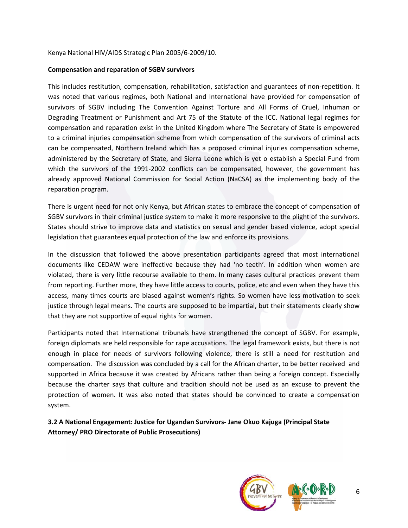#### Kenya National HIV/AIDS Strategic Plan 2005/6‐2009/10.

#### **Compensation and reparation of SGBV survivors**

This includes restitution, compensation, rehabilitation, satisfaction and guarantees of non‐repetition. It was noted that various regimes, both National and International have provided for compensation of survivors of SGBV including The Convention Against Torture and All Forms of Cruel, Inhuman or Degrading Treatment or Punishment and Art 75 of the Statute of the ICC. National legal regimes for compensation and reparation exist in the United Kingdom where The Secretary of State is empowered to a criminal injuries compensation scheme from which compensation of the survivors of criminal acts can be compensated, Northern Ireland which has a proposed criminal injuries compensation scheme, administered by the Secretary of State, and Sierra Leone which is yet o establish a Special Fund from which the survivors of the 1991-2002 conflicts can be compensated, however, the government has already approved National Commission for Social Action (NaCSA) as the implementing body of the reparation program.

There is urgent need for not only Kenya, but African states to embrace the concept of compensation of SGBV survivors in their criminal justice system to make it more responsive to the plight of the survivors. States should strive to improve data and statistics on sexual and gender based violence, adopt special legislation that guarantees equal protection of the law and enforce its provisions.

In the discussion that followed the above presentation participants agreed that most international documents like CEDAW were ineffective because they had 'no teeth'. In addition when women are violated, there is very little recourse available to them. In many cases cultural practices prevent them from reporting. Further more, they have little access to courts, police, etc and even when they have this access, many times courts are biased against women's rights. So women have less motivation to seek justice through legal means. The courts are supposed to be impartial, but their statements clearly show that they are not supportive of equal rights for women.

Participants noted that International tribunals have strengthened the concept of SGBV. For example, foreign diplomats are held responsible for rape accusations. The legal framework exists, but there is not enough in place for needs of survivors following violence, there is still a need for restitution and compensation. The discussion was concluded by a call for the African charter, to be better received and supported in Africa because it was created by Africans rather than being a foreign concept. Especially because the charter says that culture and tradition should not be used as an excuse to prevent the protection of women. It was also noted that states should be convinced to create a compensation system.

# **3.2 A National Engagement: Justice for Ugandan Survivors‐ Jane Okuo Kajuga (Principal State Attorney/ PRO Directorate of Public Prosecutions)**

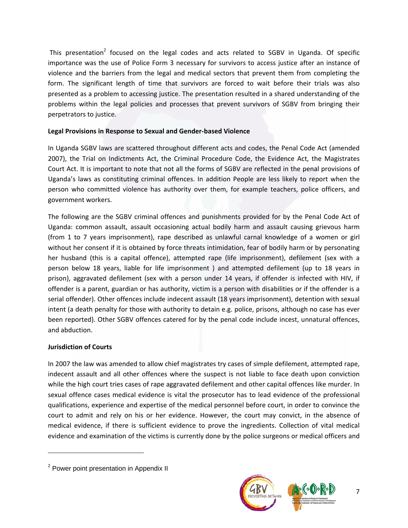This presentation<sup>2</sup> focused on the legal codes and acts related to SGBV in Uganda. Of specific importance was the use of Police Form 3 necessary for survivors to access justice after an instance of violence and the barriers from the legal and medical sectors that prevent them from completing the form. The significant length of time that survivors are forced to wait before their trials was also presented as a problem to accessing justice. The presentation resulted in a shared understanding of the problems within the legal policies and processes that prevent survivors of SGBV from bringing their perpetrators to justice.

## **Legal Provisions in Response to Sexual and Gender‐based Violence**

In Uganda SGBV laws are scattered throughout different acts and codes, the Penal Code Act (amended 2007), the Trial on Indictments Act, the Criminal Procedure Code, the Evidence Act, the Magistrates Court Act. It is important to note that not all the forms of SGBV are reflected in the penal provisions of Uganda's laws as constituting criminal offences. In addition People are less likely to report when the person who committed violence has authority over them, for example teachers, police officers, and government workers.

The following are the SGBV criminal offences and punishments provided for by the Penal Code Act of Uganda: common assault, assault occasioning actual bodily harm and assault causing grievous harm (from 1 to 7 years imprisonment), rape described as unlawful carnal knowledge of a women or girl without her consent if it is obtained by force threats intimidation, fear of bodily harm or by personating her husband (this is a capital offence), attempted rape (life imprisonment), defilement (sex with a person below 18 years, liable for life imprisonment ) and attempted defilement (up to 18 years in prison), aggravated defilement (sex with a person under 14 years, if offender is infected with HIV, if offender is a parent, guardian or has authority, victim is a person with disabilities or if the offender is a serial offender). Other offences include indecent assault (18 years imprisonment), detention with sexual intent (a death penalty for those with authority to detain e.g. police, prisons, although no case has ever been reported). Other SGBV offences catered for by the penal code include incest, unnatural offences, and abduction.

### **Jurisdiction of Courts**

In 2007 the law was amended to allow chief magistrates try cases of simple defilement, attempted rape, indecent assault and all other offences where the suspect is not liable to face death upon conviction while the high court tries cases of rape aggravated defilement and other capital offences like murder. In sexual offence cases medical evidence is vital the prosecutor has to lead evidence of the professional qualifications, experience and expertise of the medical personnel before court, in order to convince the court to admit and rely on his or her evidence. However, the court may convict, in the absence of medical evidence, if there is sufficient evidence to prove the ingredients. Collection of vital medical evidence and examination of the victims is currently done by the police surgeons or medical officers and



<sup>&</sup>lt;sup>2</sup> Power point presentation in Appendix II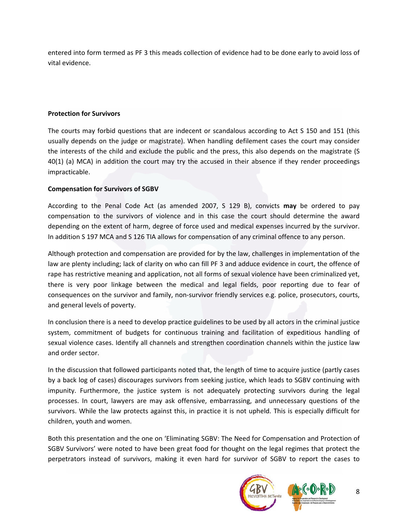entered into form termed as PF 3 this meads collection of evidence had to be done early to avoid loss of vital evidence.

### **Protection for Survivors**

The courts may forbid questions that are indecent or scandalous according to Act S 150 and 151 (this usually depends on the judge or magistrate). When handling defilement cases the court may consider the interests of the child and exclude the public and the press, this also depends on the magistrate (S 40(1) (a) MCA) in addition the court may try the accused in their absence if they render proceedings impracticable.

#### **Compensation for Survivors of SGBV**

According to the Penal Code Act (as amended 2007, S 129 B), convicts **may** be ordered to pay compensation to the survivors of violence and in this case the court should determine the award depending on the extent of harm, degree of force used and medical expenses incurred by the survivor. In addition S 197 MCA and S 126 TIA allows for compensation of any criminal offence to any person.

Although protection and compensation are provided for by the law, challenges in implementation of the law are plenty including; lack of clarity on who can fill PF 3 and adduce evidence in court, the offence of rape has restrictive meaning and application, not all forms of sexual violence have been criminalized yet, there is very poor linkage between the medical and legal fields, poor reporting due to fear of consequences on the survivor and family, non-survivor friendly services e.g. police, prosecutors, courts, and general levels of poverty.

In conclusion there is a need to develop practice guidelines to be used by all actors in the criminal justice system, commitment of budgets for continuous training and facilitation of expeditious handling of sexual violence cases. Identify all channels and strengthen coordination channels within the justice law and order sector.

In the discussion that followed participants noted that, the length of time to acquire justice (partly cases by a back log of cases) discourages survivors from seeking justice, which leads to SGBV continuing with impunity. Furthermore, the justice system is not adequately protecting survivors during the legal processes. In court, lawyers are may ask offensive, embarrassing, and unnecessary questions of the survivors. While the law protects against this, in practice it is not upheld. This is especially difficult for children, youth and women.

Both this presentation and the one on 'Eliminating SGBV: The Need for Compensation and Protection of SGBV Survivors' were noted to have been great food for thought on the legal regimes that protect the perpetrators instead of survivors, making it even hard for survivor of SGBV to report the cases to

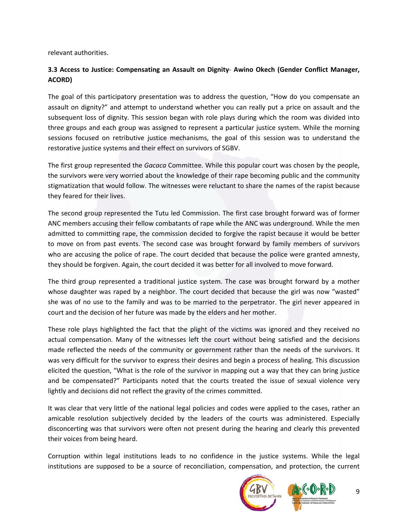relevant authorities.

# **3.3 Access to Justice: Compensating an Assault on Dignity**‐ **Awino Okech (Gender Conflict Manager, ACORD)**

The goal of this participatory presentation was to address the question, "How do you compensate an assault on dignity?" and attempt to understand whether you can really put a price on assault and the subsequent loss of dignity. This session began with role plays during which the room was divided into three groups and each group was assigned to represent a particular justice system. While the morning sessions focused on retributive justice mechanisms, the goal of this session was to understand the restorative justice systems and their effect on survivors of SGBV.

The first group represented the *Gacaca* Committee. While this popular court was chosen by the people, the survivors were very worried about the knowledge of their rape becoming public and the community stigmatization that would follow. The witnesses were reluctant to share the names of the rapist because they feared for their lives.

The second group represented the Tutu led Commission. The first case brought forward was of former ANC members accusing their fellow combatants of rape while the ANC was underground. While the men admitted to committing rape, the commission decided to forgive the rapist because it would be better to move on from past events. The second case was brought forward by family members of survivors who are accusing the police of rape. The court decided that because the police were granted amnesty, they should be forgiven. Again, the court decided it was better for all involved to move forward.

The third group represented a traditional justice system. The case was brought forward by a mother whose daughter was raped by a neighbor. The court decided that because the girl was now "wasted" she was of no use to the family and was to be married to the perpetrator. The girl never appeared in court and the decision of her future was made by the elders and her mother.

These role plays highlighted the fact that the plight of the victims was ignored and they received no actual compensation. Many of the witnesses left the court without being satisfied and the decisions made reflected the needs of the community or government rather than the needs of the survivors. It was very difficult for the survivor to express their desires and begin a process of healing. This discussion elicited the question, "What is the role of the survivor in mapping out a way that they can bring justice and be compensated?" Participants noted that the courts treated the issue of sexual violence very lightly and decisions did not reflect the gravity of the crimes committed.

It was clear that very little of the national legal policies and codes were applied to the cases, rather an amicable resolution subjectively decided by the leaders of the courts was administered. Especially disconcerting was that survivors were often not present during the hearing and clearly this prevented their voices from being heard.

Corruption within legal institutions leads to no confidence in the justice systems. While the legal institutions are supposed to be a source of reconciliation, compensation, and protection, the current

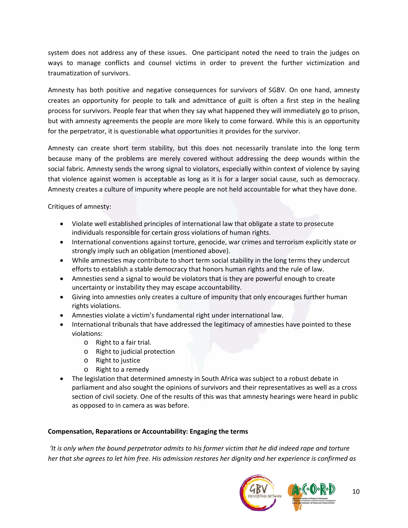system does not address any of these issues. One participant noted the need to train the judges on ways to manage conflicts and counsel victims in order to prevent the further victimization and traumatization of survivors.

Amnesty has both positive and negative consequences for survivors of SGBV. On one hand, amnesty creates an opportunity for people to talk and admittance of guilt is often a first step in the healing process for survivors. People fear that when they say what happened they will immediately go to prison, but with amnesty agreements the people are more likely to come forward. While this is an opportunity for the perpetrator, it is questionable what opportunities it provides for the survivor.

Amnesty can create short term stability, but this does not necessarily translate into the long term because many of the problems are merely covered without addressing the deep wounds within the social fabric. Amnesty sends the wrong signal to violators, especially within context of violence by saying that violence against women is acceptable as long as it is for a larger social cause, such as democracy. Amnesty creates a culture of impunity where people are not held accountable for what they have done.

Critiques of amnesty:

- Violate well established principles of international law that obligate a state to prosecute individuals responsible for certain gross violations of human rights.
- International conventions against torture, genocide, war crimes and terrorism explicitly state or strongly imply such an obligation (mentioned above).
- While amnesties may contribute to short term social stability in the long terms they undercut efforts to establish a stable democracy that honors human rights and the rule of law.
- Amnesties send a signal to would be violators that is they are powerful enough to create uncertainty or instability they may escape accountability.
- Giving into amnesties only creates a culture of impunity that only encourages further human rights violations.
- Amnesties violate a victim's fundamental right under international law.
- International tribunals that have addressed the legitimacy of amnesties have pointed to these violations:
	- o Right to a fair trial.
	- o Right to judicial protection
	- o Right to justice
	- o Right to a remedy
- The legislation that determined amnesty in South Africa was subject to a robust debate in parliament and also sought the opinions of survivors and their representatives as well as a cross section of civil society. One of the results of this was that amnesty hearings were heard in public as opposed to in camera as was before.

# **Compensation, Reparations or Accountability: Engaging the terms**

It is only when the bound perpetrator admits to his former victim that he did indeed rape and torture her that she agrees to let him free. His admission restores her dignity and her experience is confirmed as

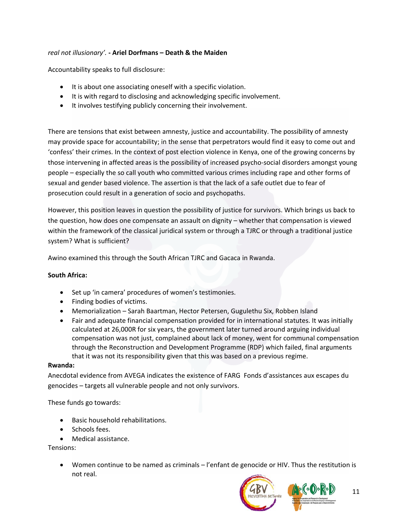# *real not illusionary'.* **‐ Ariel Dorfmans – Death & the Maiden**

Accountability speaks to full disclosure:

- It is about one associating oneself with a specific violation.
- It is with regard to disclosing and acknowledging specific involvement.
- It involves testifying publicly concerning their involvement.

There are tensions that exist between amnesty, justice and accountability. The possibility of amnesty may provide space for accountability; in the sense that perpetrators would find it easy to come out and 'confess' their crimes. In the context of post election violence in Kenya, one of the growing concerns by those intervening in affected areas is the possibility of increased psycho‐social disorders amongst young people – especially the so call youth who committed various crimes including rape and other forms of sexual and gender based violence. The assertion is that the lack of a safe outlet due to fear of prosecution could result in a generation of socio and psychopaths.

However, this position leaves in question the possibility of justice for survivors. Which brings us back to the question, how does one compensate an assault on dignity – whether that compensation is viewed within the framework of the classical juridical system or through a TJRC or through a traditional justice system? What is sufficient?

Awino examined this through the South African TJRC and Gacaca in Rwanda.

### **South Africa:**

- Set up 'in camera' procedures of women's testimonies.
- Finding bodies of victims.
- Memorialization Sarah Baartman, Hector Petersen, Gugulethu Six, Robben Island
- Fair and adequate financial compensation provided for in international statutes. It was initially calculated at 26,000R for six years, the government later turned around arguing individual compensation was not just, complained about lack of money, went for communal compensation through the Reconstruction and Development Programme (RDP) which failed, final arguments that it was not its responsibility given that this was based on a previous regime.

#### **Rwanda:**

Anecdotal evidence from AVEGA indicates the existence of FARG Fonds d'assistances aux escapes du genocides – targets all vulnerable people and not only survivors.

These funds go towards:

- Basic household rehabilitations.
- Schools fees.
- Medical assistance.

Tensions:

• Women continue to be named as criminals – l'enfant de genocide or HIV. Thus the restitution is not real.

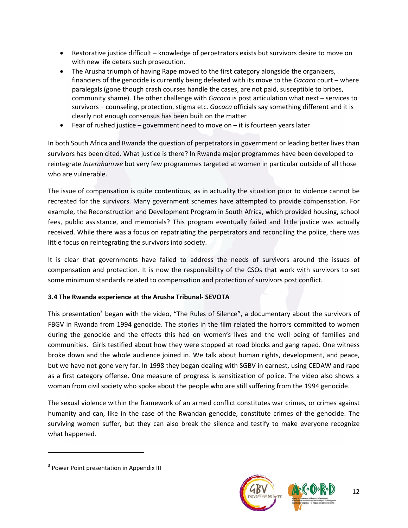- Restorative justice difficult knowledge of perpetrators exists but survivors desire to move on with new life deters such prosecution.
- The Arusha triumph of having Rape moved to the first category alongside the organizers, financiers of the genocide is currently being defeated with its move to the *Gacaca* court – where paralegals (gone though crash courses handle the cases, are not paid, susceptible to bribes, community shame). The other challenge with *Gacaca* is post articulation what next – services to survivors – counseling, protection, stigma etc. *Gacaca* officials say something different and it is clearly not enough consensus has been built on the matter
- Fear of rushed justice government need to move on  $-$  it is fourteen years later

In both South Africa and Rwanda the question of perpetrators in government or leading better lives than survivors has been cited. What justice is there? In Rwanda major programmes have been developed to reintegrate *Interahamwe* but very few programmes targeted at women in particular outside of all those who are vulnerable.

The issue of compensation is quite contentious, as in actuality the situation prior to violence cannot be recreated for the survivors. Many government schemes have attempted to provide compensation. For example, the Reconstruction and Development Program in South Africa, which provided housing, school fees, public assistance, and memorials? This program eventually failed and little justice was actually received. While there was a focus on repatriating the perpetrators and reconciling the police, there was little focus on reintegrating the survivors into society.

It is clear that governments have failed to address the needs of survivors around the issues of compensation and protection. It is now the responsibility of the CSOs that work with survivors to set some minimum standards related to compensation and protection of survivors post conflict.

# **3.4 The Rwanda experience at the Arusha Tribunal‐ SEVOTA**

This presentation<sup>3</sup> began with the video, "The Rules of Silence", a documentary about the survivors of FBGV in Rwanda from 1994 genocide. The stories in the film related the horrors committed to women during the genocide and the effects this had on women's lives and the well being of families and communities. Girls testified about how they were stopped at road blocks and gang raped. One witness broke down and the whole audience joined in. We talk about human rights, development, and peace, but we have not gone very far. In 1998 they began dealing with SGBV in earnest, using CEDAW and rape as a first category offense. One measure of progress is sensitization of police. The video also shows a woman from civil society who spoke about the people who are still suffering from the 1994 genocide.

The sexual violence within the framework of an armed conflict constitutes war crimes, or crimes against humanity and can, like in the case of the Rwandan genocide, constitute crimes of the genocide. The surviving women suffer, but they can also break the silence and testify to make everyone recognize what happened.



<sup>&</sup>lt;sup>3</sup> Power Point presentation in Appendix III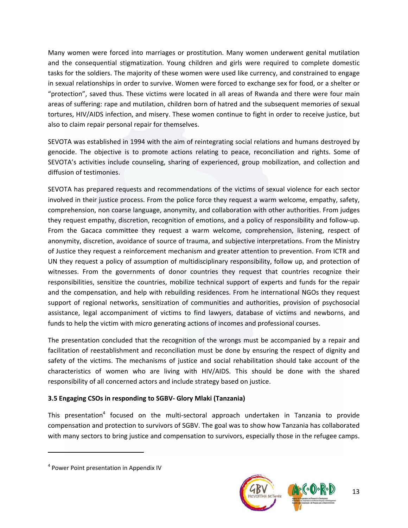Many women were forced into marriages or prostitution. Many women underwent genital mutilation and the consequential stigmatization. Young children and girls were required to complete domestic tasks for the soldiers. The majority of these women were used like currency, and constrained to engage in sexual relationships in order to survive. Women were forced to exchange sex for food, or a shelter or "protection", saved thus. These victims were located in all areas of Rwanda and there were four main areas of suffering: rape and mutilation, children born of hatred and the subsequent memories of sexual tortures, HIV/AIDS infection, and misery. These women continue to fight in order to receive justice, but also to claim repair personal repair for themselves.

SEVOTA was established in 1994 with the aim of reintegrating social relations and humans destroyed by genocide. The objective is to promote actions relating to peace, reconciliation and rights. Some of SEVOTA's activities include counseling, sharing of experienced, group mobilization, and collection and diffusion of testimonies.

SEVOTA has prepared requests and recommendations of the victims of sexual violence for each sector involved in their justice process. From the police force they request a warm welcome, empathy, safety, comprehension, non coarse language, anonymity, and collaboration with other authorities. From judges they request empathy, discretion, recognition of emotions, and a policy of responsibility and follow‐up. From the Gacaca committee they request a warm welcome, comprehension, listening, respect of anonymity, discretion, avoidance of source of trauma, and subjective interpretations. From the Ministry of Justice they request a reinforcement mechanism and greater attention to prevention. From ICTR and UN they request a policy of assumption of multidisciplinary responsibility, follow up, and protection of witnesses. From the governments of donor countries they request that countries recognize their responsibilities, sensitize the countries, mobilize technical support of experts and funds for the repair and the compensation, and help with rebuilding residences. From he international NGOs they request support of regional networks, sensitization of communities and authorities, provision of psychosocial assistance, legal accompaniment of victims to find lawyers, database of victims and newborns, and funds to help the victim with micro generating actions of incomes and professional courses.

The presentation concluded that the recognition of the wrongs must be accompanied by a repair and facilitation of reestablishment and reconciliation must be done by ensuring the respect of dignity and safety of the victims. The mechanisms of justice and social rehabilitation should take account of the characteristics of women who are living with HIV/AIDS. This should be done with the shared responsibility of all concerned actors and include strategy based on justice.

# **3.5 Engaging CSOs in responding to SGBV‐ Glory Mlaki (Tanzania)**

This presentation<sup>4</sup> focused on the multi-sectoral approach undertaken in Tanzania to provide compensation and protection to survivors of SGBV. The goal was to show how Tanzania has collaborated with many sectors to bring justice and compensation to survivors, especially those in the refugee camps.



<sup>4</sup> Power Point presentation in Appendix IV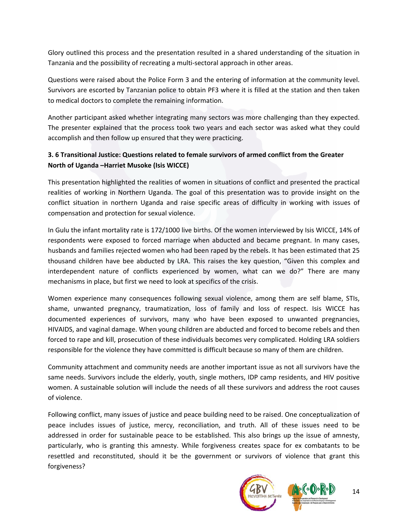Glory outlined this process and the presentation resulted in a shared understanding of the situation in Tanzania and the possibility of recreating a multi‐sectoral approach in other areas.

Questions were raised about the Police Form 3 and the entering of information at the community level. Survivors are escorted by Tanzanian police to obtain PF3 where it is filled at the station and then taken to medical doctors to complete the remaining information.

Another participant asked whether integrating many sectors was more challenging than they expected. The presenter explained that the process took two years and each sector was asked what they could accomplish and then follow up ensured that they were practicing.

# **3. 6 Transitional Justice: Questions related to female survivors of armed conflict from the Greater North of Uganda –Harriet Musoke (Isis WICCE)**

This presentation highlighted the realities of women in situations of conflict and presented the practical realities of working in Northern Uganda. The goal of this presentation was to provide insight on the conflict situation in northern Uganda and raise specific areas of difficulty in working with issues of compensation and protection for sexual violence.

In Gulu the infant mortality rate is 172/1000 live births. Of the women interviewed by Isis WICCE, 14% of respondents were exposed to forced marriage when abducted and became pregnant. In many cases, husbands and families rejected women who had been raped by the rebels. It has been estimated that 25 thousand children have bee abducted by LRA. This raises the key question, "Given this complex and interdependent nature of conflicts experienced by women, what can we do?" There are many mechanisms in place, but first we need to look at specifics of the crisis.

Women experience many consequences following sexual violence, among them are self blame, STIs, shame, unwanted pregnancy, traumatization, loss of family and loss of respect. Isis WICCE has documented experiences of survivors, many who have been exposed to unwanted pregnancies, HIVAIDS, and vaginal damage. When young children are abducted and forced to become rebels and then forced to rape and kill, prosecution of these individuals becomes very complicated. Holding LRA soldiers responsible for the violence they have committed is difficult because so many of them are children.

Community attachment and community needs are another important issue as not all survivors have the same needs. Survivors include the elderly, youth, single mothers, IDP camp residents, and HIV positive women. A sustainable solution will include the needs of all these survivors and address the root causes of violence.

Following conflict, many issues of justice and peace building need to be raised. One conceptualization of peace includes issues of justice, mercy, reconciliation, and truth. All of these issues need to be addressed in order for sustainable peace to be established. This also brings up the issue of amnesty, particularly, who is granting this amnesty. While forgiveness creates space for ex combatants to be resettled and reconstituted, should it be the government or survivors of violence that grant this forgiveness?

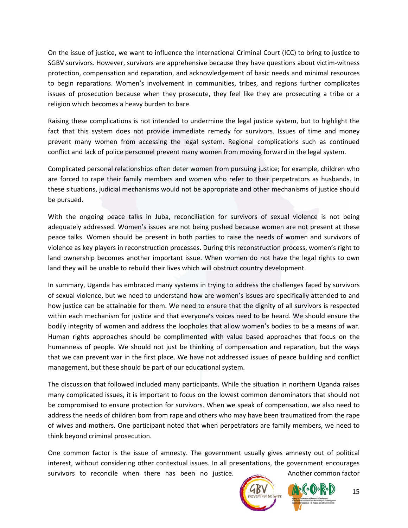On the issue of justice, we want to influence the International Criminal Court (ICC) to bring to justice to SGBV survivors. However, survivors are apprehensive because they have questions about victim‐witness protection, compensation and reparation, and acknowledgement of basic needs and minimal resources to begin reparations. Women's involvement in communities, tribes, and regions further complicates issues of prosecution because when they prosecute, they feel like they are prosecuting a tribe or a religion which becomes a heavy burden to bare.

Raising these complications is not intended to undermine the legal justice system, but to highlight the fact that this system does not provide immediate remedy for survivors. Issues of time and money prevent many women from accessing the legal system. Regional complications such as continued conflict and lack of police personnel prevent many women from moving forward in the legal system.

Complicated personal relationships often deter women from pursuing justice; for example, children who are forced to rape their family members and women who refer to their perpetrators as husbands. In these situations, judicial mechanisms would not be appropriate and other mechanisms of justice should be pursued.

With the ongoing peace talks in Juba, reconciliation for survivors of sexual violence is not being adequately addressed. Women's issues are not being pushed because women are not present at these peace talks. Women should be present in both parties to raise the needs of women and survivors of violence as key players in reconstruction processes. During this reconstruction process, women's right to land ownership becomes another important issue. When women do not have the legal rights to own land they will be unable to rebuild their lives which will obstruct country development.

In summary, Uganda has embraced many systems in trying to address the challenges faced by survivors of sexual violence, but we need to understand how are women's issues are specifically attended to and how justice can be attainable for them. We need to ensure that the dignity of all survivors is respected within each mechanism for justice and that everyone's voices need to be heard. We should ensure the bodily integrity of women and address the loopholes that allow women's bodies to be a means of war. Human rights approaches should be complimented with value based approaches that focus on the humanness of people. We should not just be thinking of compensation and reparation, but the ways that we can prevent war in the first place. We have not addressed issues of peace building and conflict management, but these should be part of our educational system.

The discussion that followed included many participants. While the situation in northern Uganda raises many complicated issues, it is important to focus on the lowest common denominators that should not be compromised to ensure protection for survivors. When we speak of compensation, we also need to address the needs of children born from rape and others who may have been traumatized from the rape of wives and mothers. One participant noted that when perpetrators are family members, we need to think beyond criminal prosecution.

One common factor is the issue of amnesty. The government usually gives amnesty out of political interest, without considering other contextual issues. In all presentations, the government encourages survivors to reconcile when there has been no justice. Another common factor

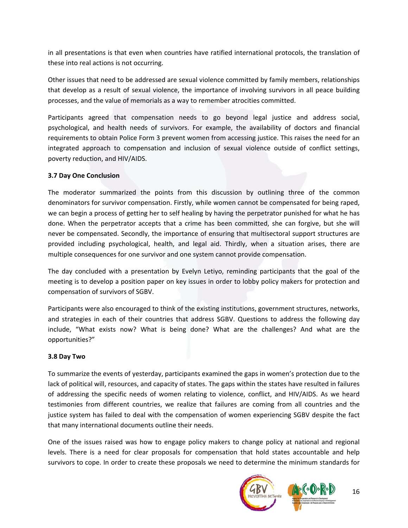in all presentations is that even when countries have ratified international protocols, the translation of these into real actions is not occurring.

Other issues that need to be addressed are sexual violence committed by family members, relationships that develop as a result of sexual violence, the importance of involving survivors in all peace building processes, and the value of memorials as a way to remember atrocities committed.

Participants agreed that compensation needs to go beyond legal justice and address social, psychological, and health needs of survivors. For example, the availability of doctors and financial requirements to obtain Police Form 3 prevent women from accessing justice. This raises the need for an integrated approach to compensation and inclusion of sexual violence outside of conflict settings, poverty reduction, and HIV/AIDS.

## **3.7 Day One Conclusion**

The moderator summarized the points from this discussion by outlining three of the common denominators for survivor compensation. Firstly, while women cannot be compensated for being raped, we can begin a process of getting her to self healing by having the perpetrator punished for what he has done. When the perpetrator accepts that a crime has been committed, she can forgive, but she will never be compensated. Secondly, the importance of ensuring that multisectoral support structures are provided including psychological, health, and legal aid. Thirdly, when a situation arises, there are multiple consequences for one survivor and one system cannot provide compensation.

The day concluded with a presentation by Evelyn Letiyo, reminding participants that the goal of the meeting is to develop a position paper on key issues in order to lobby policy makers for protection and compensation of survivors of SGBV.

Participants were also encouraged to think of the existing institutions, government structures, networks, and strategies in each of their countries that address SGBV. Questions to address the following day include, "What exists now? What is being done? What are the challenges? And what are the opportunities?"

### **3.8 Day Two**

To summarize the events of yesterday, participants examined the gaps in women's protection due to the lack of political will, resources, and capacity of states. The gaps within the states have resulted in failures of addressing the specific needs of women relating to violence, conflict, and HIV/AIDS. As we heard testimonies from different countries, we realize that failures are coming from all countries and the justice system has failed to deal with the compensation of women experiencing SGBV despite the fact that many international documents outline their needs.

One of the issues raised was how to engage policy makers to change policy at national and regional levels. There is a need for clear proposals for compensation that hold states accountable and help survivors to cope. In order to create these proposals we need to determine the minimum standards for

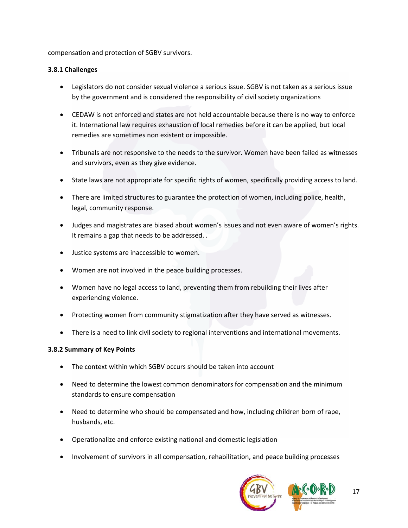compensation and protection of SGBV survivors.

## **3.8.1 Challenges**

- Legislators do not consider sexual violence a serious issue. SGBV is not taken as a serious issue by the government and is considered the responsibility of civil society organizations
- CEDAW is not enforced and states are not held accountable because there is no way to enforce it. International law requires exhaustion of local remedies before it can be applied, but local remedies are sometimes non existent or impossible.
- Tribunals are not responsive to the needs to the survivor. Women have been failed as witnesses and survivors, even as they give evidence.
- State laws are not appropriate for specific rights of women, specifically providing access to land.
- There are limited structures to guarantee the protection of women, including police, health, legal, community response.
- Judges and magistrates are biased about women's issues and not even aware of women's rights. It remains a gap that needs to be addressed. .
- Justice systems are inaccessible to women.
- Women are not involved in the peace building processes.
- Women have no legal access to land, preventing them from rebuilding their lives after experiencing violence.
- Protecting women from community stigmatization after they have served as witnesses.
- There is a need to link civil society to regional interventions and international movements.

### **3.8.2 Summary of Key Points**

- The context within which SGBV occurs should be taken into account
- Need to determine the lowest common denominators for compensation and the minimum standards to ensure compensation
- Need to determine who should be compensated and how, including children born of rape, husbands, etc.
- Operationalize and enforce existing national and domestic legislation
- Involvement of survivors in all compensation, rehabilitation, and peace building processes

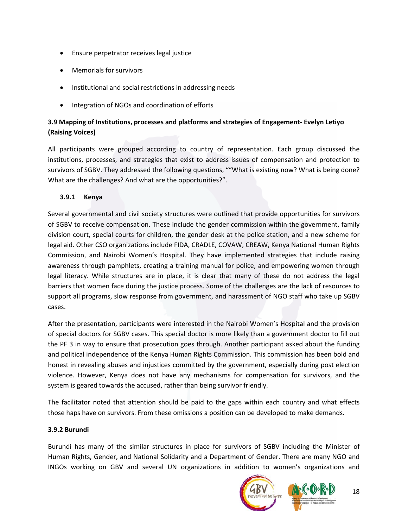- Ensure perpetrator receives legal justice
- Memorials for survivors
- Institutional and social restrictions in addressing needs
- Integration of NGOs and coordination of efforts

# **3.9 Mapping of Institutions, processes and platforms and strategies of Engagement‐ Evelyn Letiyo (Raising Voices)**

All participants were grouped according to country of representation. Each group discussed the institutions, processes, and strategies that exist to address issues of compensation and protection to survivors of SGBV. They addressed the following questions, ""What is existing now? What is being done? What are the challenges? And what are the opportunities?".

# **3.9.1 Kenya**

Several governmental and civil society structures were outlined that provide opportunities for survivors of SGBV to receive compensation. These include the gender commission within the government, family division court, special courts for children, the gender desk at the police station, and a new scheme for legal aid. Other CSO organizations include FIDA, CRADLE, COVAW, CREAW, Kenya National Human Rights Commission, and Nairobi Women's Hospital. They have implemented strategies that include raising awareness through pamphlets, creating a training manual for police, and empowering women through legal literacy. While structures are in place, it is clear that many of these do not address the legal barriers that women face during the justice process. Some of the challenges are the lack of resources to support all programs, slow response from government, and harassment of NGO staff who take up SGBV cases.

After the presentation, participants were interested in the Nairobi Women's Hospital and the provision of special doctors for SGBV cases. This special doctor is more likely than a government doctor to fill out the PF 3 in way to ensure that prosecution goes through. Another participant asked about the funding and political independence of the Kenya Human Rights Commission. This commission has been bold and honest in revealing abuses and injustices committed by the government, especially during post election violence. However, Kenya does not have any mechanisms for compensation for survivors, and the system is geared towards the accused, rather than being survivor friendly.

The facilitator noted that attention should be paid to the gaps within each country and what effects those haps have on survivors. From these omissions a position can be developed to make demands.

# **3.9.2 Burundi**

Burundi has many of the similar structures in place for survivors of SGBV including the Minister of Human Rights, Gender, and National Solidarity and a Department of Gender. There are many NGO and INGOs working on GBV and several UN organizations in addition to women's organizations and

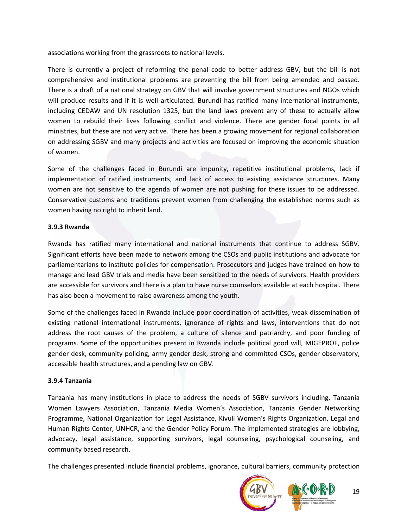associations working from the grassroots to national levels.

There is currently a project of reforming the penal code to better address GBV, but the bill is not comprehensive and institutional problems are preventing the bill from being amended and passed. There is a draft of a national strategy on GBV that will involve government structures and NGOs which will produce results and if it is well articulated. Burundi has ratified many international instruments, including CEDAW and UN resolution 1325, but the land laws prevent any of these to actually allow women to rebuild their lives following conflict and violence. There are gender focal points in all ministries, but these are not very active. There has been a growing movement for regional collaboration on addressing SGBV and many projects and activities are focused on improving the economic situation of women.

Some of the challenges faced in Burundi are impunity, repetitive institutional problems, lack if implementation of ratified instruments, and lack of access to existing assistance structures. Many women are not sensitive to the agenda of women are not pushing for these issues to be addressed. Conservative customs and traditions prevent women from challenging the established norms such as women having no right to inherit land.

#### **3.9.3 Rwanda**

Rwanda has ratified many international and national instruments that continue to address SGBV. Significant efforts have been made to network among the CSOs and public institutions and advocate for parliamentarians to institute policies for compensation. Prosecutors and judges have trained on how to manage and lead GBV trials and media have been sensitized to the needs of survivors. Health providers are accessible for survivors and there is a plan to have nurse counselors available at each hospital. There has also been a movement to raise awareness among the youth.

Some of the challenges faced in Rwanda include poor coordination of activities, weak dissemination of existing national international instruments, ignorance of rights and laws, interventions that do not address the root causes of the problem, a culture of silence and patriarchy, and poor funding of programs. Some of the opportunities present in Rwanda include political good will, MIGEPROF, police gender desk, community policing, army gender desk, strong and committed CSOs, gender observatory, accessible health structures, and a pending law on GBV.

#### **3.9.4 Tanzania**

Tanzania has many institutions in place to address the needs of SGBV survivors including, Tanzania Women Lawyers Association, Tanzania Media Women's Association, Tanzania Gender Networking Programme, National Organization for Legal Assistance, Kivuli Women's Rights Organization, Legal and Human Rights Center, UNHCR, and the Gender Policy Forum. The implemented strategies are lobbying, advocacy, legal assistance, supporting survivors, legal counseling, psychological counseling, and community based research.

The challenges presented include financial problems, ignorance, cultural barriers, community protection



19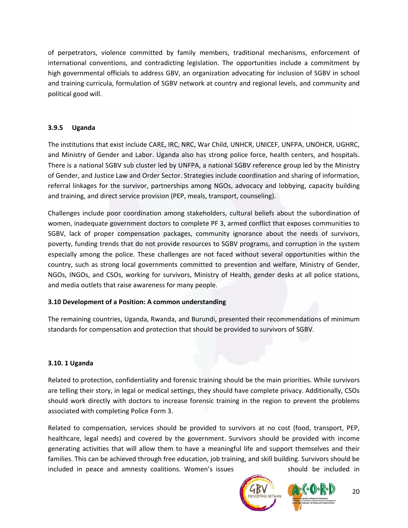of perpetrators, violence committed by family members, traditional mechanisms, enforcement of international conventions, and contradicting legislation. The opportunities include a commitment by high governmental officials to address GBV, an organization advocating for inclusion of SGBV in school and training curricula, formulation of SGBV network at country and regional levels, and community and political good will.

# **3.9.5 Uganda**

The institutions that exist include CARE, IRC, NRC, War Child, UNHCR, UNICEF, UNFPA, UNOHCR, UGHRC, and Ministry of Gender and Labor. Uganda also has strong police force, health centers, and hospitals. There is a national SGBV sub cluster led by UNFPA, a national SGBV reference group led by the Ministry of Gender, and Justice Law and Order Sector. Strategies include coordination and sharing of information, referral linkages for the survivor, partnerships among NGOs, advocacy and lobbying, capacity building and training, and direct service provision (PEP, meals, transport, counseling).

Challenges include poor coordination among stakeholders, cultural beliefs about the subordination of women, inadequate government doctors to complete PF 3, armed conflict that exposes communities to SGBV, lack of proper compensation packages, community ignorance about the needs of survivors, poverty, funding trends that do not provide resources to SGBV programs, and corruption in the system especially among the police. These challenges are not faced without several opportunities within the country, such as strong local governments committed to prevention and welfare, Ministry of Gender, NGOs, INGOs, and CSOs, working for survivors, Ministry of Health, gender desks at all police stations, and media outlets that raise awareness for many people.

# **3.10 Development of a Position: A common understanding**

The remaining countries, Uganda, Rwanda, and Burundi, presented their recommendations of minimum standards for compensation and protection that should be provided to survivors of SGBV.

# **3.10. 1 Uganda**

Related to protection, confidentiality and forensic training should be the main priorities. While survivors are telling their story, in legal or medical settings, they should have complete privacy. Additionally, CSOs should work directly with doctors to increase forensic training in the region to prevent the problems associated with completing Police Form 3.

Related to compensation, services should be provided to survivors at no cost (food, transport, PEP, healthcare, legal needs) and covered by the government. Survivors should be provided with income generating activities that will allow them to have a meaningful life and support themselves and their families. This can be achieved through free education, job training, and skill building. Survivors should be included in peace and amnesty coalitions. Women's issues should be included in



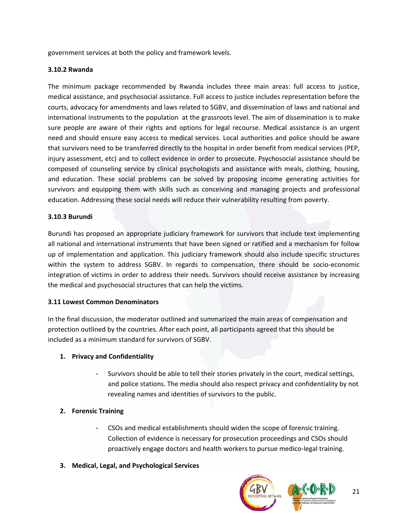government services at both the policy and framework levels.

## **3.10.2 Rwanda**

The minimum package recommended by Rwanda includes three main areas: full access to justice, medical assistance, and psychosocial assistance. Full access to justice includes representation before the courts, advocacy for amendments and laws related to SGBV, and dissemination of laws and national and international instruments to the population at the grassroots level. The aim of dissemination is to make sure people are aware of their rights and options for legal recourse. Medical assistance is an urgent need and should ensure easy access to medical services. Local authorities and police should be aware that survivors need to be transferred directly to the hospital in order benefit from medical services (PEP, injury assessment, etc) and to collect evidence in order to prosecute. Psychosocial assistance should be composed of counseling service by clinical psychologists and assistance with meals, clothing, housing, and education. These social problems can be solved by proposing income generating activities for survivors and equipping them with skills such as conceiving and managing projects and professional education. Addressing these social needs will reduce their vulnerability resulting from poverty.

## **3.10.3 Burundi**

Burundi has proposed an appropriate judiciary framework for survivors that include text implementing all national and international instruments that have been signed or ratified and a mechanism for follow up of implementation and application. This judiciary framework should also include specific structures within the system to address SGBV. In regards to compensation, there should be socio‐economic integration of victims in order to address their needs. Survivors should receive assistance by increasing the medical and psychosocial structures that can help the victims.

### **3.11 Lowest Common Denominators**

In the final discussion, the moderator outlined and summarized the main areas of compensation and protection outlined by the countries. After each point, all participants agreed that this should be included as a minimum standard for survivors of SGBV.

### **1. Privacy and Confidentiality**

Survivors should be able to tell their stories privately in the court, medical settings, and police stations. The media should also respect privacy and confidentiality by not revealing names and identities of survivors to the public.

# **2. Forensic Training**

- CSOs and medical establishments should widen the scope of forensic training. Collection of evidence is necessary for prosecution proceedings and CSOs should proactively engage doctors and health workers to pursue medico‐legal training.
- **3. Medical, Legal, and Psychological Services**

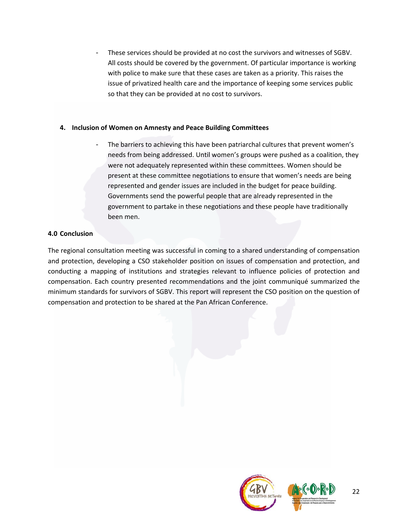These services should be provided at no cost the survivors and witnesses of SGBV. All costs should be covered by the government. Of particular importance is working with police to make sure that these cases are taken as a priority. This raises the issue of privatized health care and the importance of keeping some services public so that they can be provided at no cost to survivors.

## **4. Inclusion of Women on Amnesty and Peace Building Committees**

The barriers to achieving this have been patriarchal cultures that prevent women's needs from being addressed. Until women's groups were pushed as a coalition, they were not adequately represented within these committees. Women should be present at these committee negotiations to ensure that women's needs are being represented and gender issues are included in the budget for peace building. Governments send the powerful people that are already represented in the government to partake in these negotiations and these people have traditionally been men.

## **4.0 Conclusion**

The regional consultation meeting was successful in coming to a shared understanding of compensation and protection, developing a CSO stakeholder position on issues of compensation and protection, and conducting a mapping of institutions and strategies relevant to influence policies of protection and compensation. Each country presented recommendations and the joint communiqué summarized the minimum standards for survivors of SGBV. This report will represent the CSO position on the question of compensation and protection to be shared at the Pan African Conference.

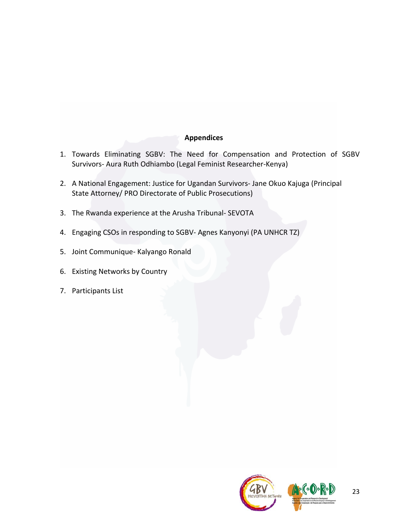# **Appendices**

- 1. Towards Eliminating SGBV: The Need for Compensation and Protection of SGBV Survivors‐ Aura Ruth Odhiambo (Legal Feminist Researcher‐Kenya)
- 2. A National Engagement: Justice for Ugandan Survivors‐ Jane Okuo Kajuga (Principal State Attorney/ PRO Directorate of Public Prosecutions)
- 3. The Rwanda experience at the Arusha Tribunal‐ SEVOTA
- 4. Engaging CSOs in responding to SGBV‐ Agnes Kanyonyi (PA UNHCR TZ)
- 5. Joint Communique‐ Kalyango Ronald
- 6. Existing Networks by Country
- 7. Participants List

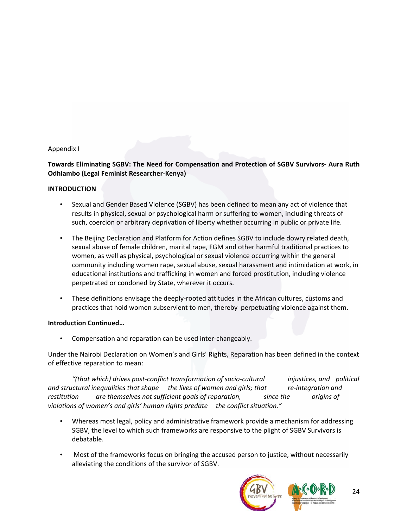### Appendix I

## **Towards Eliminating SGBV: The Need for Compensation and Protection of SGBV Survivors‐ Aura Ruth Odhiambo (Legal Feminist Researcher‐Kenya)**

#### **INTRODUCTION**

- Sexual and Gender Based Violence (SGBV) has been defined to mean any act of violence that results in physical, sexual or psychological harm or suffering to women, including threats of such, coercion or arbitrary deprivation of liberty whether occurring in public or private life.
- The Beijing Declaration and Platform for Action defines SGBV to include dowry related death, sexual abuse of female children, marital rape, FGM and other harmful traditional practices to women, as well as physical, psychological or sexual violence occurring within the general community including women rape, sexual abuse, sexual harassment and intimidation at work, in educational institutions and trafficking in women and forced prostitution, including violence perpetrated or condoned by State, wherever it occurs.
- These definitions envisage the deeply‐rooted attitudes in the African cultures, customs and practices that hold women subservient to men, thereby perpetuating violence against them.

#### **Introduction Continued…**

• Compensation and reparation can be used inter‐changeably.

Under the Nairobi Declaration on Women's and Girls' Rights, Reparation has been defined in the context of effective reparation to mean:

*"(that which) drives post‐conflict transformation of socio‐cultural injustices, and political and structural inequalities that shape the lives of women and girls; that re‐integration and restitution are themselves not sufficient goals of reparation, since the origins of violations of women's and girls' human rights predate the conflict situation."*

- Whereas most legal, policy and administrative framework provide a mechanism for addressing SGBV, the level to which such frameworks are responsive to the plight of SGBV Survivors is debatable.
- Most of the frameworks focus on bringing the accused person to justice, without necessarily alleviating the conditions of the survivor of SGBV.

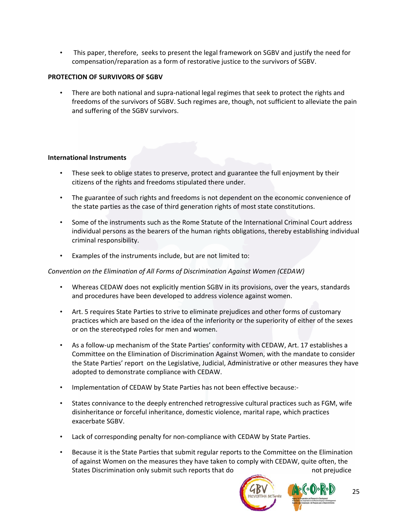• This paper, therefore, seeks to present the legal framework on SGBV and justify the need for compensation/reparation as a form of restorative justice to the survivors of SGBV.

## **PROTECTION OF SURVIVORS OF SGBV**

• There are both national and supra-national legal regimes that seek to protect the rights and freedoms of the survivors of SGBV. Such regimes are, though, not sufficient to alleviate the pain and suffering of the SGBV survivors.

## **International Instruments**

- These seek to oblige states to preserve, protect and guarantee the full enjoyment by their citizens of the rights and freedoms stipulated there under.
- The guarantee of such rights and freedoms is not dependent on the economic convenience of the state parties as the case of third generation rights of most state constitutions.
- Some of the instruments such as the Rome Statute of the International Criminal Court address individual persons as the bearers of the human rights obligations, thereby establishing individual criminal responsibility.
- Examples of the instruments include, but are not limited to:

### *Convention on the Elimination of All Forms of Discrimination Against Women (CEDAW)*

- Whereas CEDAW does not explicitly mention SGBV in its provisions, over the years, standards and procedures have been developed to address violence against women.
- Art. 5 requires State Parties to strive to eliminate prejudices and other forms of customary practices which are based on the idea of the inferiority or the superiority of either of the sexes or on the stereotyped roles for men and women.
- As a follow‐up mechanism of the State Parties' conformity with CEDAW, Art. 17 establishes a Committee on the Elimination of Discrimination Against Women, with the mandate to consider the State Parties' report on the Legislative, Judicial, Administrative or other measures they have adopted to demonstrate compliance with CEDAW.
- Implementation of CEDAW by State Parties has not been effective because:-
- States connivance to the deeply entrenched retrogressive cultural practices such as FGM, wife disinheritance or forceful inheritance, domestic violence, marital rape, which practices exacerbate SGBV.
- Lack of corresponding penalty for non-compliance with CEDAW by State Parties.
- Because it is the State Parties that submit regular reports to the Committee on the Elimination of against Women on the measures they have taken to comply with CEDAW, quite often, the States Discrimination only submit such reports that do not prejudice

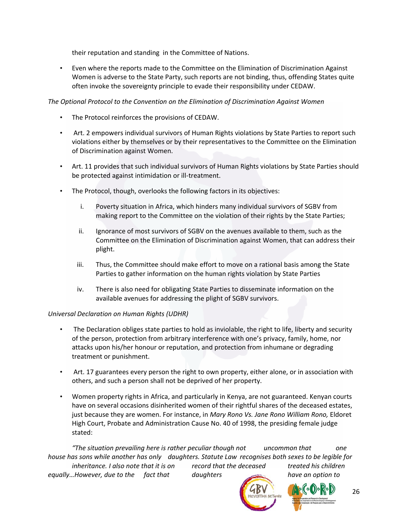their reputation and standing in the Committee of Nations.

• Even where the reports made to the Committee on the Elimination of Discrimination Against Women is adverse to the State Party, such reports are not binding, thus, offending States quite often invoke the sovereignty principle to evade their responsibility under CEDAW.

## *The Optional Protocol to the Convention on the Elimination of Discrimination Against Women*

- The Protocol reinforces the provisions of CEDAW.
- Art. 2 empowers individual survivors of Human Rights violations by State Parties to report such violations either by themselves or by their representatives to the Committee on the Elimination of Discrimination against Women.
- Art. 11 provides that such individual survivors of Human Rights violations by State Parties should be protected against intimidation or ill‐treatment.
- The Protocol, though, overlooks the following factors in its objectives:
	- i. Poverty situation in Africa, which hinders many individual survivors of SGBV from making report to the Committee on the violation of their rights by the State Parties;
	- ii. Ignorance of most survivors of SGBV on the avenues available to them, such as the Committee on the Elimination of Discrimination against Women, that can address their plight.
	- iii. Thus, the Committee should make effort to move on a rational basis among the State Parties to gather information on the human rights violation by State Parties
	- iv. There is also need for obligating State Parties to disseminate information on the available avenues for addressing the plight of SGBV survivors.

### *Universal Declaration on Human Rights (UDHR)*

- The Declaration obliges state parties to hold as inviolable, the right to life, liberty and security of the person, protection from arbitrary interference with one's privacy, family, home, nor attacks upon his/her honour or reputation, and protection from inhumane or degrading treatment or punishment.
- Art. 17 guarantees every person the right to own property, either alone, or in association with others, and such a person shall not be deprived of her property.
- Women property rights in Africa, and particularly in Kenya, are not guaranteed. Kenyan courts have on several occasions disinherited women of their rightful shares of the deceased estates, just because they are women. For instance, in *Mary Rono Vs. Jane Rono William Rono,* Eldoret High Court, Probate and Administration Cause No. 40 of 1998, the presiding female judge stated:

*"The situation prevailing here is rather peculiar though not uncommon that one* house has sons while another has only daughters. Statute Law recognises both sexes to be legible for *inheritance. I also note that it is on record that the deceased treated his children equally…However, due to the fact that daughters have an option to*





26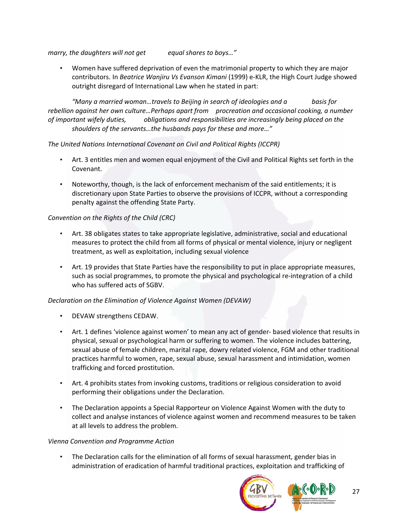*marry, the daughters will not get equal shares to boys…"*

• Women have suffered deprivation of even the matrimonial property to which they are major contributors. In *Beatrice Wanjiru Vs Evanson Kimani* (1999) e‐KLR, the High Court Judge showed outright disregard of International Law when he stated in part:

*"Many a married woman…travels to Beijing in search of ideologies and a basis for rebellion against her own culture…Perhaps apart from procreation and occasional cooking, a number of important wifely duties, obligations and responsibilities are increasingly being placed on the shoulders of the servants…the husbands pays for these and more…"*

# *The United Nations International Covenant on Civil and Political Rights (ICCPR)*

- Art. 3 entitles men and women equal enjoyment of the Civil and Political Rights set forth in the Covenant.
- Noteworthy, though, is the lack of enforcement mechanism of the said entitlements; it is discretionary upon State Parties to observe the provisions of ICCPR, without a corresponding penalty against the offending State Party.

# *Convention on the Rights of the Child (CRC)*

- Art. 38 obligates states to take appropriate legislative, administrative, social and educational measures to protect the child from all forms of physical or mental violence, injury or negligent treatment, as well as exploitation, including sexual violence
- Art. 19 provides that State Parties have the responsibility to put in place appropriate measures, such as social programmes, to promote the physical and psychological re-integration of a child who has suffered acts of SGBV.

# *Declaration on the Elimination of Violence Against Women (DEVAW)*

- DEVAW strengthens CEDAW.
- Art. 1 defines 'violence against women' to mean any act of gender- based violence that results in physical, sexual or psychological harm or suffering to women. The violence includes battering, sexual abuse of female children, marital rape, dowry related violence, FGM and other traditional practices harmful to women, rape, sexual abuse, sexual harassment and intimidation, women trafficking and forced prostitution.
- Art. 4 prohibits states from invoking customs, traditions or religious consideration to avoid performing their obligations under the Declaration.
- The Declaration appoints a Special Rapporteur on Violence Against Women with the duty to collect and analyse instances of violence against women and recommend measures to be taken at all levels to address the problem.

### *Vienna Convention and Programme Action*

• The Declaration calls for the elimination of all forms of sexual harassment, gender bias in administration of eradication of harmful traditional practices, exploitation and trafficking of

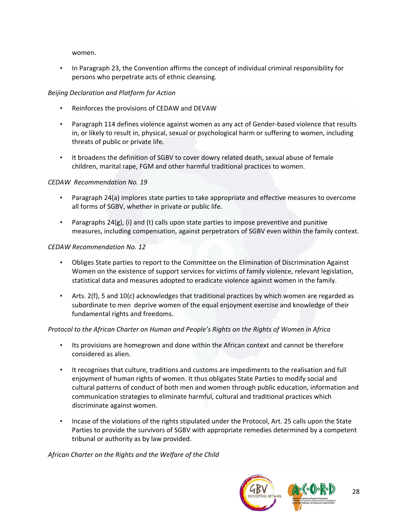women.

• In Paragraph 23, the Convention affirms the concept of individual criminal responsibility for persons who perpetrate acts of ethnic cleansing.

# *Beijing Declaration and Platform for Action*

- Reinforces the provisions of CEDAW and DEVAW
- Paragraph 114 defines violence against women as any act of Gender-based violence that results in, or likely to result in, physical, sexual or psychological harm or suffering to women, including threats of public or private life.
- It broadens the definition of SGBV to cover dowry related death, sexual abuse of female children, marital rape, FGM and other harmful traditional practices to women.

# *CEDAW Recommendation No. 19*

- Paragraph 24(a) implores state parties to take appropriate and effective measures to overcome all forms of SGBV, whether in private or public life.
- Paragraphs  $24(g)$ , (i) and (t) calls upon state parties to impose preventive and punitive measures, including compensation, against perpetrators of SGBV even within the family context.

# *CEDAW Recommendation No. 12*

- Obliges State parties to report to the Committee on the Elimination of Discrimination Against Women on the existence of support services for victims of family violence, relevant legislation, statistical data and measures adopted to eradicate violence against women in the family.
- Arts. 2(f), 5 and 10(c) acknowledges that traditional practices by which women are regarded as subordinate to men deprive women of the equal enjoyment exercise and knowledge of their fundamental rights and freedoms.

# *Protocol to the African Charter on Human and People's Rights on the Rights of Women in Africa*

- Its provisions are homegrown and done within the African context and cannot be therefore considered as alien.
- It recognises that culture, traditions and customs are impediments to the realisation and full enjoyment of human rights of women. It thus obligates State Parties to modify social and cultural patterns of conduct of both men and women through public education, information and communication strategies to eliminate harmful, cultural and traditional practices which discriminate against women.
- Incase of the violations of the rights stipulated under the Protocol, Art. 25 calls upon the State Parties to provide the survivors of SGBV with appropriate remedies determined by a competent tribunal or authority as by law provided.

*African Charter on the Rights and the Welfare of the Child*

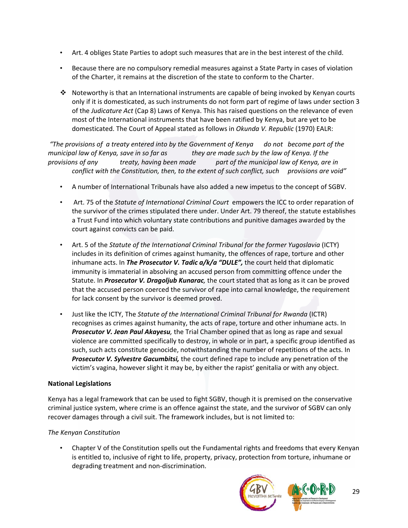- Art. 4 obliges State Parties to adopt such measures that are in the best interest of the child.
- Because there are no compulsory remedial measures against a State Party in cases of violation of the Charter, it remains at the discretion of the state to conform to the Charter.
- $\cdot \cdot$  Noteworthy is that an International instruments are capable of being invoked by Kenyan courts only if it is domesticated, as such instruments do not form part of regime of laws under section 3 of the *Judicature Act* (Cap 8) Laws of Kenya. This has raised questions on the relevance of even most of the International instruments that have been ratified by Kenya, but are yet to be domesticated. The Court of Appeal stated as follows in *Okunda V. Republic* (1970) EALR:

"The provisions of a treaty entered into by the Government of Kenya do not become part of the municipal law of Kenya, save in so far as they are made such by the law of Kenya. If the *provisions of any treaty, having been made part of the municipal law of Kenya, are in conflict with the Constitution, then, to the extent of such conflict, such provisions are void"*

- A number of International Tribunals have also added a new impetus to the concept of SGBV.
- Art. 75 of the *Statute of International Criminal Court* empowers the ICC to order reparation of the survivor of the crimes stipulated there under. Under Art. 79 thereof, the statute establishes a Trust Fund into which voluntary state contributions and punitive damages awarded by the court against convicts can be paid.
- Art. 5 of the *Statute of the International Criminal Tribunal for the former Yugoslavia* (ICTY) includes in its definition of crimes against humanity, the offences of rape, torture and other inhumane acts. In *The Prosecutor V. Tadic a/k/a "DULE",* the court held that diplomatic immunity is immaterial in absolving an accused person from committing offence under the Statute. In *Prosecutor V. Dragoljub Kunarac,* the court stated that as long as it can be proved that the accused person coerced the survivor of rape into carnal knowledge, the requirement for lack consent by the survivor is deemed proved.
- Just like the ICTY, The *Statute of the International Criminal Tribunal for Rwanda* (ICTR) recognises as crimes against humanity, the acts of rape, torture and other inhumane acts. In *Prosecutor V. Jean Paul Akayesu,* the Trial Chamber opined that as long as rape and sexual violence are committed specifically to destroy, in whole or in part, a specific group identified as such, such acts constitute genocide, notwithstanding the number of repetitions of the acts. In *Prosecutor V. Sylvestre Gacumbitsi,* the court defined rape to include any penetration of the victim's vagina, however slight it may be, by either the rapist' genitalia or with any object.

# **National Legislations**

Kenya has a legal framework that can be used to fight SGBV, though it is premised on the conservative criminal justice system, where crime is an offence against the state, and the survivor of SGBV can only recover damages through a civil suit. The framework includes, but is not limited to:

# *The Kenyan Constitution*

• Chapter V of the Constitution spells out the Fundamental rights and freedoms that every Kenyan is entitled to, inclusive of right to life, property, privacy, protection from torture, inhumane or degrading treatment and non‐discrimination.

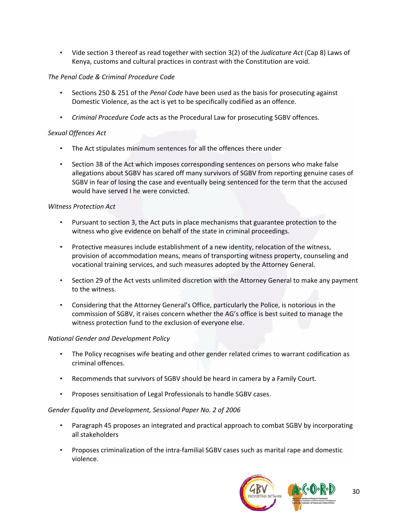• Vide section 3 thereof as read together with section 3(2) of the *Judicature Act* (Cap 8) Laws of Kenya, customs and cultural practices in contrast with the Constitution are void.

## *The Penal Code & Criminal Procedure Code*

- Sections 250 & 251 of the *Penal Code* have been used as the basis for prosecuting against Domestic Violence, as the act is yet to be specifically codified as an offence.
- *Criminal Procedure Code* acts as the Procedural Law for prosecuting SGBV offences.

## *Sexual Offences Act*

- The Act stipulates minimum sentences for all the offences there under
- Section 38 of the Act which imposes corresponding sentences on persons who make false allegations about SGBV has scared off many survivors of SGBV from reporting genuine cases of SGBV in fear of losing the case and eventually being sentenced for the term that the accused would have served I he were convicted.

### *Witness Protection Act*

- Pursuant to section 3, the Act puts in place mechanisms that guarantee protection to the witness who give evidence on behalf of the state in criminal proceedings.
- Protective measures include establishment of a new identity, relocation of the witness, provision of accommodation means, means of transporting witness property, counseling and vocational training services, and such measures adopted by the Attorney General.
- Section 29 of the Act vests unlimited discretion with the Attorney General to make any payment to the witness.
- Considering that the Attorney General's Office, particularly the Police, is notorious in the commission of SGBV, it raises concern whether the AG's office is best suited to manage the witness protection fund to the exclusion of everyone else.

### *National Gender and Development Policy*

- The Policy recognises wife beating and other gender related crimes to warrant codification as criminal offences.
- Recommends that survivors of SGBV should be heard in camera by a Family Court.
- Proposes sensitisation of Legal Professionals to handle SGBV cases.

### *Gender Equality and Development, Sessional Paper No. 2 of 2006*

- Paragraph 45 proposes an integrated and practical approach to combat SGBV by incorporating all stakeholders
- Proposes criminalization of the intra‐familial SGBV cases such as marital rape and domestic violence.

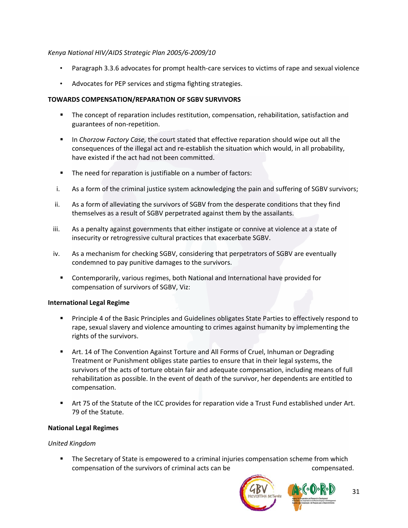## *Kenya National HIV/AIDS Strategic Plan 2005/6‐2009/10*

- Paragraph 3.3.6 advocates for prompt health‐care services to victims of rape and sexual violence
- Advocates for PEP services and stigma fighting strategies.

## **TOWARDS COMPENSATION/REPARATION OF SGBV SURVIVORS**

- **The concept of reparation includes restitution, compensation, rehabilitation, satisfaction and** guarantees of non‐repetition.
- In *Chorzow Factory Case,* the court stated that effective reparation should wipe out all the consequences of the illegal act and re‐establish the situation which would, in all probability, have existed if the act had not been committed.
- The need for reparation is justifiable on a number of factors:
- i. As a form of the criminal justice system acknowledging the pain and suffering of SGBV survivors;
- ii. As a form of alleviating the survivors of SGBV from the desperate conditions that they find themselves as a result of SGBV perpetrated against them by the assailants.
- iii. As a penalty against governments that either instigate or connive at violence at a state of insecurity or retrogressive cultural practices that exacerbate SGBV.
- iv. As a mechanism for checking SGBV, considering that perpetrators of SGBV are eventually condemned to pay punitive damages to the survivors.
	- Contemporarily, various regimes, both National and International have provided for compensation of survivors of SGBV, Viz:

### **International Legal Regime**

- Principle 4 of the Basic Principles and Guidelines obligates State Parties to effectively respond to rape, sexual slavery and violence amounting to crimes against humanity by implementing the rights of the survivors.
- Art. 14 of The Convention Against Torture and All Forms of Cruel, Inhuman or Degrading Treatment or Punishment obliges state parties to ensure that in their legal systems, the survivors of the acts of torture obtain fair and adequate compensation, including means of full rehabilitation as possible. In the event of death of the survivor, her dependents are entitled to compensation.
- Art 75 of the Statute of the ICC provides for reparation vide a Trust Fund established under Art. 79 of the Statute.

# **National Legal Regimes**

### *United Kingdom*

**The Secretary of State is empowered to a criminal injuries compensation scheme from which** compensation of the survivors of criminal acts can be compensated.



31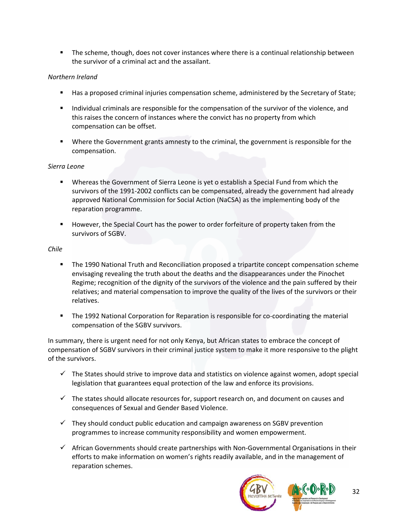The scheme, though, does not cover instances where there is a continual relationship between the survivor of a criminal act and the assailant.

## *Northern Ireland*

- Has a proposed criminal injuries compensation scheme, administered by the Secretary of State;
- **Individual criminals are responsible for the compensation of the survivor of the violence, and** this raises the concern of instances where the convict has no property from which compensation can be offset.
- **Where the Government grants amnesty to the criminal, the government is responsible for the** compensation.

## *Sierra Leone*

- **Whereas the Government of Sierra Leone is yet o establish a Special Fund from which the** survivors of the 1991‐2002 conflicts can be compensated, already the government had already approved National Commission for Social Action (NaCSA) as the implementing body of the reparation programme.
- **However, the Special Court has the power to order forfeiture of property taken from the** survivors of SGBV.

## *Chile*

- The 1990 National Truth and Reconciliation proposed a tripartite concept compensation scheme envisaging revealing the truth about the deaths and the disappearances under the Pinochet Regime; recognition of the dignity of the survivors of the violence and the pain suffered by their relatives; and material compensation to improve the quality of the lives of the survivors or their relatives.
- The 1992 National Corporation for Reparation is responsible for co-coordinating the material compensation of the SGBV survivors.

In summary, there is urgent need for not only Kenya, but African states to embrace the concept of compensation of SGBV survivors in their criminal justice system to make it more responsive to the plight of the survivors.

- $\checkmark$  The States should strive to improve data and statistics on violence against women, adopt special legislation that guarantees equal protection of the law and enforce its provisions.
- $\checkmark$  The states should allocate resources for, support research on, and document on causes and consequences of Sexual and Gender Based Violence.
- $\checkmark$  They should conduct public education and campaign awareness on SGBV prevention programmes to increase community responsibility and women empowerment.
- $\checkmark$  African Governments should create partnerships with Non-Governmental Organisations in their efforts to make information on women's rights readily available, and in the management of reparation schemes.

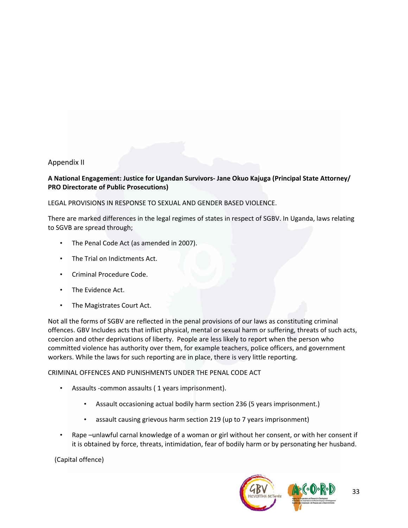# Appendix II

# **A National Engagement: Justice for Ugandan Survivors‐ Jane Okuo Kajuga (Principal State Attorney/ PRO Directorate of Public Prosecutions)**

LEGAL PROVISIONS IN RESPONSE TO SEXUAL AND GENDER BASED VIOLENCE.

There are marked differences in the legal regimes of states in respect of SGBV. In Uganda, laws relating to SGVB are spread through;

- The Penal Code Act (as amended in 2007).
- The Trial on Indictments Act.
- Criminal Procedure Code.
- The Evidence Act.
- The Magistrates Court Act.

Not all the forms of SGBV are reflected in the penal provisions of our laws as constituting criminal offences. GBV Includes acts that inflict physical, mental or sexual harm or suffering, threats of such acts, coercion and other deprivations of liberty. People are less likely to report when the person who committed violence has authority over them, for example teachers, police officers, and government workers. While the laws for such reporting are in place, there is very little reporting.

### CRIMINAL OFFENCES AND PUNISHMENTS UNDER THE PENAL CODE ACT

- Assaults -common assaults (1 years imprisonment).
	- Assault occasioning actual bodily harm section 236 (5 years imprisonment.)
	- assault causing grievous harm section 219 (up to 7 years imprisonment)
- Rape –unlawful carnal knowledge of a woman or girl without her consent, or with her consent if it is obtained by force, threats, intimidation, fear of bodily harm or by personating her husband.

(Capital offence)

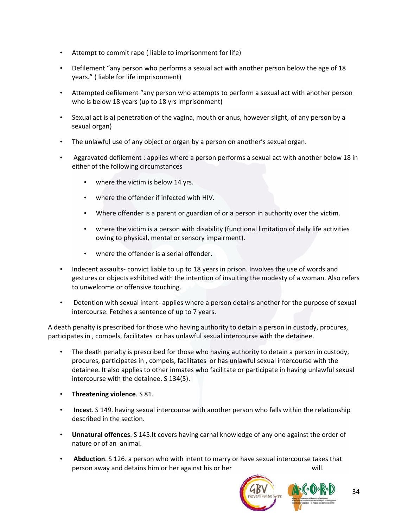- Attempt to commit rape (liable to imprisonment for life)
- Defilement "any person who performs a sexual act with another person below the age of 18 years." ( liable for life imprisonment)
- Attempted defilement "any person who attempts to perform a sexual act with another person who is below 18 years (up to 18 yrs imprisonment)
- Sexual act is a) penetration of the vagina, mouth or anus, however slight, of any person by a sexual organ)
- The unlawful use of any object or organ by a person on another's sexual organ.
- Aggravated defilement : applies where a person performs a sexual act with another below 18 in either of the following circumstances
	- where the victim is below 14 yrs.
	- where the offender if infected with HIV.
	- Where offender is a parent or guardian of or a person in authority over the victim.
	- where the victim is a person with disability (functional limitation of daily life activities owing to physical, mental or sensory impairment).
	- where the offender is a serial offender.
- Indecent assaults-convict liable to up to 18 years in prison. Involves the use of words and gestures or objects exhibited with the intention of insulting the modesty of a woman. Also refers to unwelcome or offensive touching.
- Detention with sexual intent‐ applies where a person detains another for the purpose of sexual intercourse. Fetches a sentence of up to 7 years.

A death penalty is prescribed for those who having authority to detain a person in custody, procures, participates in , compels, facilitates or has unlawful sexual intercourse with the detainee.

- The death penalty is prescribed for those who having authority to detain a person in custody, procures, participates in , compels, facilitates or has unlawful sexual intercourse with the detainee. It also applies to other inmates who facilitate or participate in having unlawful sexual intercourse with the detainee. S 134(5).
- **Threatening violence**. S 81.
- **Incest**. S 149. having sexual intercourse with another person who falls within the relationship described in the section.
- **Unnatural offences**. S 145.It covers having carnal knowledge of any one against the order of nature or of an animal.
- **Abduction**. S 126. a person who with intent to marry or have sexual intercourse takes that person away and detains him or her against his or her will.

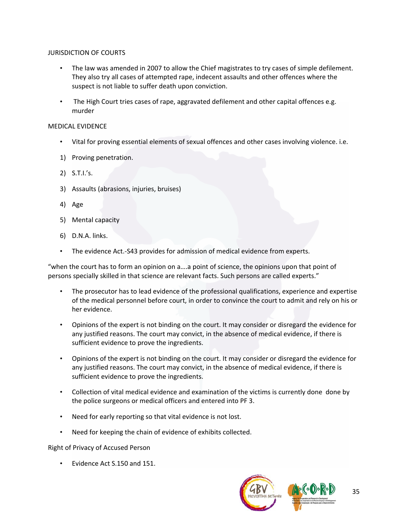## JURISDICTION OF COURTS

- The law was amended in 2007 to allow the Chief magistrates to try cases of simple defilement. They also try all cases of attempted rape, indecent assaults and other offences where the suspect is not liable to suffer death upon conviction.
- The High Court tries cases of rape, aggravated defilement and other capital offences e.g. murder

## MEDICAL EVIDENCE

- Vital for proving essential elements of sexual offences and other cases involving violence. i.e.
- 1) Proving penetration.
- 2) S.T.I.'s.
- 3) Assaults (abrasions, injuries, bruises)
- 4) Age
- 5) Mental capacity
- 6) D.N.A. links.
- The evidence Act.-S43 provides for admission of medical evidence from experts.

"when the court has to form an opinion on a….a point of science, the opinions upon that point of persons specially skilled in that science are relevant facts. Such persons are called experts."

- The prosecutor has to lead evidence of the professional qualifications, experience and expertise of the medical personnel before court, in order to convince the court to admit and rely on his or her evidence.
- Opinions of the expert is not binding on the court. It may consider or disregard the evidence for any justified reasons. The court may convict, in the absence of medical evidence, if there is sufficient evidence to prove the ingredients.
- Opinions of the expert is not binding on the court. It may consider or disregard the evidence for any justified reasons. The court may convict, in the absence of medical evidence, if there is sufficient evidence to prove the ingredients.
- Collection of vital medical evidence and examination of the victims is currently done done by the police surgeons or medical officers and entered into PF 3.
- Need for early reporting so that vital evidence is not lost.
- Need for keeping the chain of evidence of exhibits collected.

Right of Privacy of Accused Person

• Evidence Act S.150 and 151.

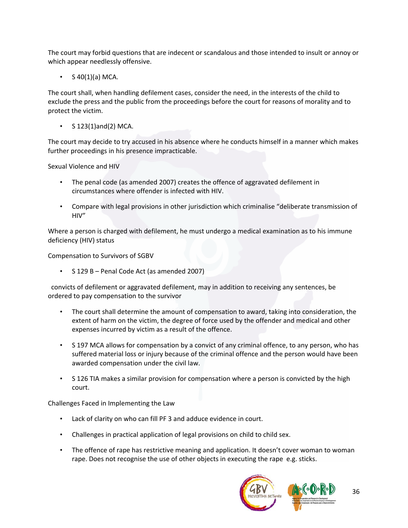The court may forbid questions that are indecent or scandalous and those intended to insult or annoy or which appear needlessly offensive.

 $S$  40(1)(a) MCA.

The court shall, when handling defilement cases, consider the need, in the interests of the child to exclude the press and the public from the proceedings before the court for reasons of morality and to protect the victim.

• S 123(1)and(2) MCA.

The court may decide to try accused in his absence where he conducts himself in a manner which makes further proceedings in his presence impracticable.

Sexual Violence and HIV

- The penal code (as amended 2007) creates the offence of aggravated defilement in circumstances where offender is infected with HIV.
- Compare with legal provisions in other jurisdiction which criminalise "deliberate transmission of HIV"

Where a person is charged with defilement, he must undergo a medical examination as to his immune deficiency (HIV) status

Compensation to Survivors of SGBV

• S 129 B – Penal Code Act (as amended 2007)

 convicts of defilement or aggravated defilement, may in addition to receiving any sentences, be ordered to pay compensation to the survivor

- The court shall determine the amount of compensation to award, taking into consideration, the extent of harm on the victim, the degree of force used by the offender and medical and other expenses incurred by victim as a result of the offence.
- S 197 MCA allows for compensation by a convict of any criminal offence, to any person, who has suffered material loss or injury because of the criminal offence and the person would have been awarded compensation under the civil law.
- S 126 TIA makes a similar provision for compensation where a person is convicted by the high court.

Challenges Faced in Implementing the Law

- Lack of clarity on who can fill PF 3 and adduce evidence in court.
- Challenges in practical application of legal provisions on child to child sex.
- The offence of rape has restrictive meaning and application. It doesn't cover woman to woman rape. Does not recognise the use of other objects in executing the rape e.g. sticks.

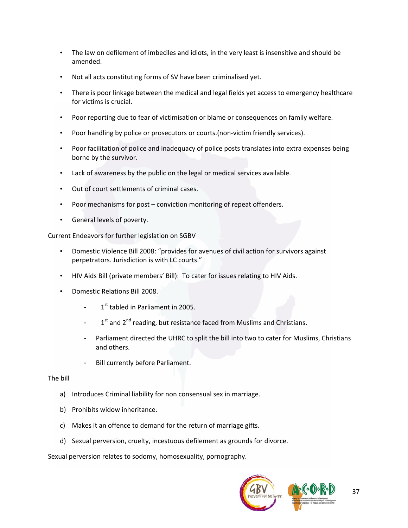- The law on defilement of imbeciles and idiots, in the very least is insensitive and should be amended.
- Not all acts constituting forms of SV have been criminalised yet.
- There is poor linkage between the medical and legal fields yet access to emergency healthcare for victims is crucial.
- Poor reporting due to fear of victimisation or blame or consequences on family welfare.
- Poor handling by police or prosecutors or courts.(non‐victim friendly services).
- Poor facilitation of police and inadequacy of police posts translates into extra expenses being borne by the survivor.
- Lack of awareness by the public on the legal or medical services available.
- Out of court settlements of criminal cases.
- Poor mechanisms for post conviction monitoring of repeat offenders.
- General levels of poverty.

Current Endeavors for further legislation on SGBV

- Domestic Violence Bill 2008: "provides for avenues of civil action for survivors against perpetrators. Jurisdiction is with LC courts."
- HIV Aids Bill (private members' Bill): To cater for issues relating to HIV Aids.
- Domestic Relations Bill 2008.
	- $1<sup>st</sup>$  tabled in Parliament in 2005.
	- $1<sup>st</sup>$  and  $2<sup>nd</sup>$  reading, but resistance faced from Muslims and Christians.
	- Parliament directed the UHRC to split the bill into two to cater for Muslims, Christians and others.
	- Bill currently before Parliament.

#### The bill

- a) Introduces Criminal liability for non consensual sex in marriage.
- b) Prohibits widow inheritance.
- c) Makes it an offence to demand for the return of marriage gifts.
- d) Sexual perversion, cruelty, incestuous defilement as grounds for divorce.

Sexual perversion relates to sodomy, homosexuality, pornography.

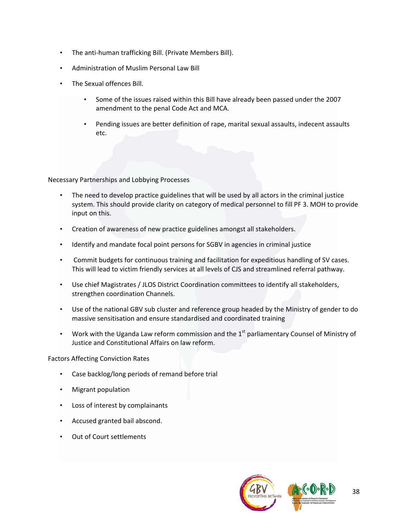- The anti‐human trafficking Bill. (Private Members Bill).
- Administration of Muslim Personal Law Bill
- The Sexual offences Bill.
	- Some of the issues raised within this Bill have already been passed under the 2007 amendment to the penal Code Act and MCA.
	- Pending issues are better definition of rape, marital sexual assaults, indecent assaults etc.

Necessary Partnerships and Lobbying Processes

- The need to develop practice guidelines that will be used by all actors in the criminal justice system. This should provide clarity on category of medical personnel to fill PF 3. MOH to provide input on this.
- Creation of awareness of new practice guidelines amongst all stakeholders.
- Identify and mandate focal point persons for SGBV in agencies in criminal justice
- Commit budgets for continuous training and facilitation for expeditious handling of SV cases. This will lead to victim friendly services at all levels of CJS and streamlined referral pathway.
- Use chief Magistrates / JLOS District Coordination committees to identify all stakeholders, strengthen coordination Channels.
- Use of the national GBV sub cluster and reference group headed by the Ministry of gender to do massive sensitisation and ensure standardised and coordinated training
- Work with the Uganda Law reform commission and the  $1<sup>st</sup>$  parliamentary Counsel of Ministry of Justice and Constitutional Affairs on law reform.

### Factors Affecting Conviction Rates

- Case backlog/long periods of remand before trial
- Migrant population
- Loss of interest by complainants
- Accused granted bail abscond.
- Out of Court settlements

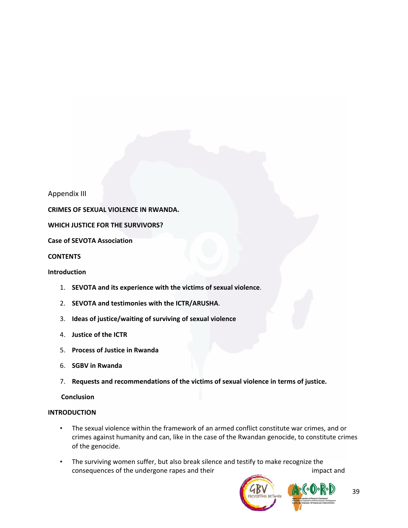Appendix III

**CRIMES OF SEXUAL VIOLENCE IN RWANDA.**

**WHICH JUSTICE FOR THE SURVIVORS?** 

**Case of SEVOTA Association**

**CONTENTS**

#### **Introduction**

- 1. **SEVOTA and its experience with the victims of sexual violence**.
- 2. **SEVOTA and testimonies with the ICTR/ARUSHA**.
- 3. **Ideas of justice/waiting of surviving of sexual violence**
- 4. **Justice of the ICTR**
- 5. **Process of Justice in Rwanda**
- 6. **SGBV in Rwanda**
- 7. **Requests and recommendations of the victims of sexual violence in terms of justice.**

#### **Conclusion**

#### **INTRODUCTION**

- The sexual violence within the framework of an armed conflict constitute war crimes, and or crimes against humanity and can, like in the case of the Rwandan genocide, to constitute crimes of the genocide.
- The surviving women suffer, but also break silence and testify to make recognize the consequences of the undergone rapes and their impact and impact and

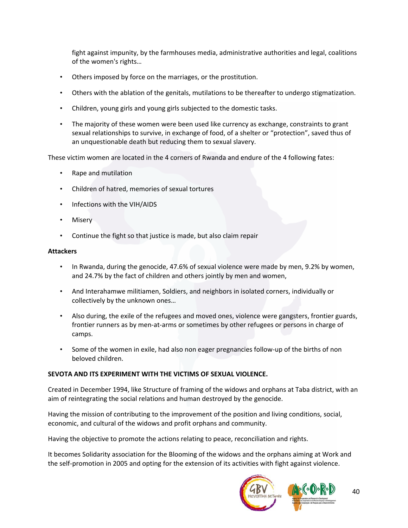fight against impunity, by the farmhouses media, administrative authorities and legal, coalitions of the women's rights…

- Others imposed by force on the marriages, or the prostitution.
- Others with the ablation of the genitals, mutilations to be thereafter to undergo stigmatization.
- Children, young girls and young girls subjected to the domestic tasks.
- The majority of these women were been used like currency as exchange, constraints to grant sexual relationships to survive, in exchange of food, of a shelter or "protection", saved thus of an unquestionable death but reducing them to sexual slavery.

These victim women are located in the 4 corners of Rwanda and endure of the 4 following fates:

- Rape and mutilation
- Children of hatred, memories of sexual tortures
- Infections with the VIH/AIDS
- **Misery**
- Continue the fight so that justice is made, but also claim repair

#### **Attackers**

- In Rwanda, during the genocide, 47.6% of sexual violence were made by men, 9.2% by women, and 24.7% by the fact of children and others jointly by men and women,
- And Interahamwe militiamen, Soldiers, and neighbors in isolated corners, individually or collectively by the unknown ones…
- Also during, the exile of the refugees and moved ones, violence were gangsters, frontier guards, frontier runners as by men‐at‐arms or sometimes by other refugees or persons in charge of camps.
- Some of the women in exile, had also non eager pregnancies follow‐up of the births of non beloved children.

### **SEVOTA AND ITS EXPERIMENT WITH THE VICTIMS OF SEXUAL VIOLENCE.**

Created in December 1994, like Structure of framing of the widows and orphans at Taba district, with an aim of reintegrating the social relations and human destroyed by the genocide.

Having the mission of contributing to the improvement of the position and living conditions, social, economic, and cultural of the widows and profit orphans and community.

Having the objective to promote the actions relating to peace, reconciliation and rights.

It becomes Solidarity association for the Blooming of the widows and the orphans aiming at Work and the self‐promotion in 2005 and opting for the extension of its activities with fight against violence.

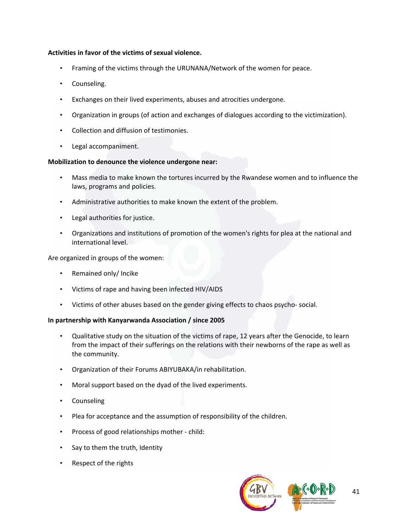## **Activities in favor of the victims of sexual violence.**

- Framing of the victims through the URUNANA/Network of the women for peace.
- Counseling.
- Exchanges on their lived experiments, abuses and atrocities undergone.
- Organization in groups (of action and exchanges of dialogues according to the victimization).
- Collection and diffusion of testimonies.
- Legal accompaniment.

## **Mobilization to denounce the violence undergone near:**

- Mass media to make known the tortures incurred by the Rwandese women and to influence the laws, programs and policies.
- Administrative authorities to make known the extent of the problem.
- Legal authorities for justice.
- Organizations and institutions of promotion of the women's rights for plea at the national and international level.

Are organized in groups of the women:

- Remained only/ Incike
- Victims of rape and having been infected HIV/AIDS
- Victims of other abuses based on the gender giving effects to chaos psycho‐ social.

### **In partnership with Kanyarwanda Association / since 2005**

- Qualitative study on the situation of the victims of rape, 12 years after the Genocide, to learn from the impact of their sufferings on the relations with their newborns of the rape as well as the community.
- Organization of their Forums ABIYUBAKA/in rehabilitation.
- Moral support based on the dyad of the lived experiments.
- Counseling
- Plea for acceptance and the assumption of responsibility of the children.
- Process of good relationships mother ‐ child:
- Say to them the truth, Identity
- Respect of the rights

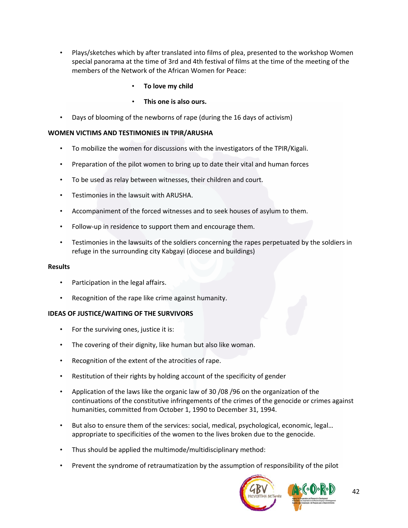- Plays/sketches which by after translated into films of plea, presented to the workshop Women special panorama at the time of 3rd and 4th festival of films at the time of the meeting of the members of the Network of the African Women for Peace:
	- **To love my child**
	- **This one is also ours.**
- Days of blooming of the newborns of rape (during the 16 days of activism)

# **WOMEN VICTIMS AND TESTIMONIES IN TPIR/ARUSHA**

- To mobilize the women for discussions with the investigators of the TPIR/Kigali.
- Preparation of the pilot women to bring up to date their vital and human forces
- To be used as relay between witnesses, their children and court.
- Testimonies in the lawsuit with ARUSHA.
- Accompaniment of the forced witnesses and to seek houses of asylum to them.
- Follow‐up in residence to support them and encourage them.
- Testimonies in the lawsuits of the soldiers concerning the rapes perpetuated by the soldiers in refuge in the surrounding city Kabgayi (diocese and buildings)

### **Results**

- Participation in the legal affairs.
- Recognition of the rape like crime against humanity.

# **IDEAS OF JUSTICE/WAITING OF THE SURVIVORS**

- For the surviving ones, justice it is:
- The covering of their dignity, like human but also like woman.
- Recognition of the extent of the atrocities of rape.
- Restitution of their rights by holding account of the specificity of gender
- Application of the laws like the organic law of 30 /08 /96 on the organization of the continuations of the constitutive infringements of the crimes of the genocide or crimes against humanities, committed from October 1, 1990 to December 31, 1994.
- But also to ensure them of the services: social, medical, psychological, economic, legal… appropriate to specificities of the women to the lives broken due to the genocide.
- Thus should be applied the multimode/multidisciplinary method:
- Prevent the syndrome of retraumatization by the assumption of responsibility of the pilot

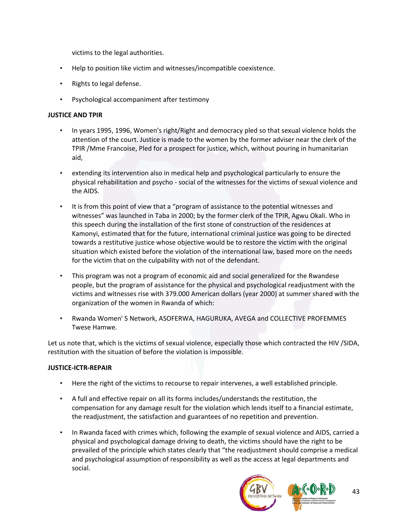victims to the legal authorities.

- Help to position like victim and witnesses/incompatible coexistence.
- Rights to legal defense.
- Psychological accompaniment after testimony

## **JUSTICE AND TPIR**

- In years 1995, 1996, Women's right/Right and democracy pled so that sexual violence holds the attention of the court. Justice is made to the women by the former adviser near the clerk of the TPIR /Mme Francoise, Pled for a prospect for justice, which, without pouring in humanitarian aid,
- extending its intervention also in medical help and psychological particularly to ensure the physical rehabilitation and psycho ‐ social of the witnesses for the victims of sexual violence and the AIDS.
- It is from this point of view that a "program of assistance to the potential witnesses and witnesses" was launched in Taba in 2000; by the former clerk of the TPIR, Agwu Okali. Who in this speech during the installation of the first stone of construction of the residences at Kamonyi, estimated that for the future, international criminal justice was going to be directed towards a restitutive justice whose objective would be to restore the victim with the original situation which existed before the violation of the international law, based more on the needs for the victim that on the culpability with not of the defendant.
- This program was not a program of economic aid and social generalized for the Rwandese people, but the program of assistance for the physical and psychological readjustment with the victims and witnesses rise with 379.000 American dollars (year 2000) at summer shared with the organization of the women in Rwanda of which:
- Rwanda Women' S Network, ASOFERWA, HAGURUKA, AVEGA and COLLECTIVE PROFEMMES Twese Hamwe.

Let us note that, which is the victims of sexual violence, especially those which contracted the HIV /SIDA, restitution with the situation of before the violation is impossible.

### **JUSTICE‐ICTR‐REPAIR**

- Here the right of the victims to recourse to repair intervenes, a well established principle.
- A full and effective repair on all its forms includes/understands the restitution, the compensation for any damage result for the violation which lends itself to a financial estimate, the readjustment, the satisfaction and guarantees of no repetition and prevention.
- In Rwanda faced with crimes which, following the example of sexual violence and AIDS, carried a physical and psychological damage driving to death, the victims should have the right to be prevailed of the principle which states clearly that "the readjustment should comprise a medical and psychological assumption of responsibility as well as the access at legal departments and social.

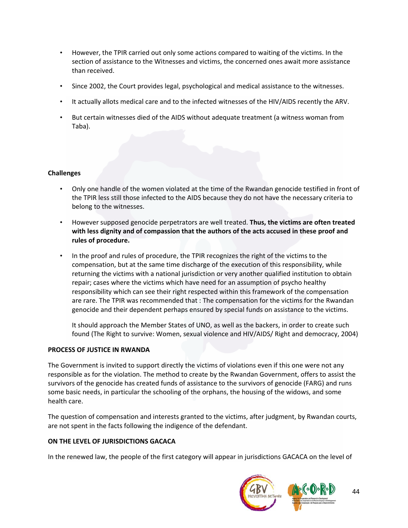- However, the TPIR carried out only some actions compared to waiting of the victims. In the section of assistance to the Witnesses and victims, the concerned ones await more assistance than received.
- Since 2002, the Court provides legal, psychological and medical assistance to the witnesses.
- It actually allots medical care and to the infected witnesses of the HIV/AIDS recently the ARV.
- But certain witnesses died of the AIDS without adequate treatment (a witness woman from Taba).

#### **Challenges**

- Only one handle of the women violated at the time of the Rwandan genocide testified in front of the TPIR less still those infected to the AIDS because they do not have the necessary criteria to belong to the witnesses.
- However supposed genocide perpetrators are well treated. **Thus, the victims are often treated with less dignity and of compassion that the authors of the acts accused in these proof and rules of procedure.**
- In the proof and rules of procedure, the TPIR recognizes the right of the victims to the compensation, but at the same time discharge of the execution of this responsibility, while returning the victims with a national jurisdiction or very another qualified institution to obtain repair; cases where the victims which have need for an assumption of psycho healthy responsibility which can see their right respected within this framework of the compensation are rare. The TPIR was recommended that : The compensation for the victims for the Rwandan genocide and their dependent perhaps ensured by special funds on assistance to the victims.

It should approach the Member States of UNO, as well as the backers, in order to create such found (The Right to survive: Women, sexual violence and HIV/AIDS/ Right and democracy, 2004)

#### **PROCESS OF JUSTICE IN RWANDA**

The Government is invited to support directly the victims of violations even if this one were not any responsible as for the violation. The method to create by the Rwandan Government, offers to assist the survivors of the genocide has created funds of assistance to the survivors of genocide (FARG) and runs some basic needs, in particular the schooling of the orphans, the housing of the widows, and some health care.

The question of compensation and interests granted to the victims, after judgment, by Rwandan courts, are not spent in the facts following the indigence of the defendant.

### **ON THE LEVEL OF JURISDICTIONS GACACA**

In the renewed law, the people of the first category will appear in jurisdictions GACACA on the level of

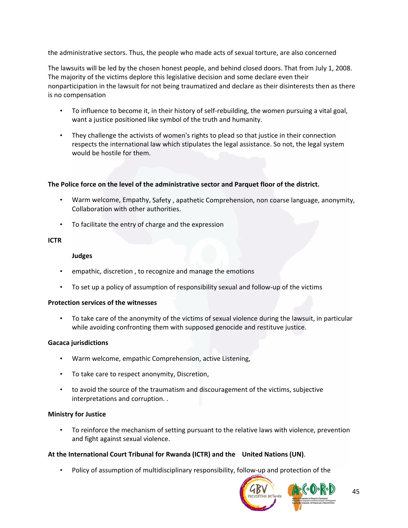the administrative sectors. Thus, the people who made acts of sexual torture, are also concerned

The lawsuits will be led by the chosen honest people, and behind closed doors. That from July 1, 2008. The majority of the victims deplore this legislative decision and some declare even their nonparticipation in the lawsuit for not being traumatized and declare as their disinterests then as there is no compensation

- To influence to become it, in their history of self-rebuilding, the women pursuing a vital goal, want a justice positioned like symbol of the truth and humanity.
- They challenge the activists of women's rights to plead so that justice in their connection respects the international law which stipulates the legal assistance. So not, the legal system would be hostile for them.

### **The Police force on the level of the administrative sector and Parquet floor of the district.**

- Warm welcome, Empathy, Safety , apathetic Comprehension, non coarse language, anonymity, Collaboration with other authorities.
- To facilitate the entry of charge and the expression

### **ICTR**

### **Judges**

- empathic, discretion , to recognize and manage the emotions
- To set up a policy of assumption of responsibility sexual and follow-up of the victims

### **Protection services of the witnesses**

• To take care of the anonymity of the victims of sexual violence during the lawsuit, in particular while avoiding confronting them with supposed genocide and restituve justice.

### **Gacaca jurisdictions**

- Warm welcome, empathic Comprehension, active Listening,
- To take care to respect anonymity, Discretion,
- to avoid the source of the traumatism and discouragement of the victims, subjective interpretations and corruption. .

### **Ministry for Justice**

• To reinforce the mechanism of setting pursuant to the relative laws with violence, prevention and fight against sexual violence.

# **At the International Court Tribunal for Rwanda (ICTR) and the United Nations (UN)**.

• Policy of assumption of multidisciplinary responsibility, follow-up and protection of the

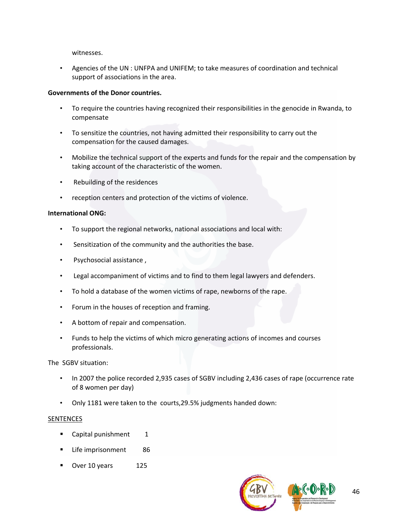witnesses.

• Agencies of the UN : UNFPA and UNIFEM; to take measures of coordination and technical support of associations in the area.

#### **Governments of the Donor countries.**

- To require the countries having recognized their responsibilities in the genocide in Rwanda, to compensate
- To sensitize the countries, not having admitted their responsibility to carry out the compensation for the caused damages.
- Mobilize the technical support of the experts and funds for the repair and the compensation by taking account of the characteristic of the women.
- Rebuilding of the residences
- reception centers and protection of the victims of violence.

#### **International ONG:**

- To support the regional networks, national associations and local with:
- Sensitization of the community and the authorities the base.
- Psychosocial assistance ,
- Legal accompaniment of victims and to find to them legal lawyers and defenders.
- To hold a database of the women victims of rape, newborns of the rape.
- Forum in the houses of reception and framing.
- A bottom of repair and compensation.
- Funds to help the victims of which micro generating actions of incomes and courses professionals.

The SGBV situation:

- In 2007 the police recorded 2,935 cases of SGBV including 2,436 cases of rape (occurrence rate of 8 women per day)
- Only 1181 were taken to the courts,29.5% judgments handed down:

#### SENTENCES

- $\blacksquare$  Capital punishment  $\blacksquare$
- **Life imprisonment** 86
- Over 10 years 125

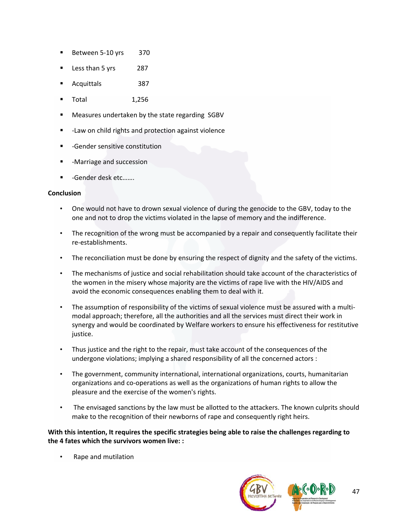- Between 5‐10 yrs 370
- Less than 5 yrs 287
- Acquittals 387
- Total 1,256
- Measures undertaken by the state regarding SGBV
- ‐Law on child rights and protection against violence
- ‐Gender sensitive constitution
- ‐Marriage and succession
- ‐Gender desk etc…….

#### **Conclusion**

- One would not have to drown sexual violence of during the genocide to the GBV, today to the one and not to drop the victims violated in the lapse of memory and the indifference.
- The recognition of the wrong must be accompanied by a repair and consequently facilitate their re‐establishments.
- The reconciliation must be done by ensuring the respect of dignity and the safety of the victims.
- The mechanisms of justice and social rehabilitation should take account of the characteristics of the women in the misery whose majority are the victims of rape live with the HIV/AIDS and avoid the economic consequences enabling them to deal with it.
- The assumption of responsibility of the victims of sexual violence must be assured with a multimodal approach; therefore, all the authorities and all the services must direct their work in synergy and would be coordinated by Welfare workers to ensure his effectiveness for restitutive justice.
- Thus justice and the right to the repair, must take account of the consequences of the undergone violations; implying a shared responsibility of all the concerned actors :
- The government, community international, international organizations, courts, humanitarian organizations and co‐operations as well as the organizations of human rights to allow the pleasure and the exercise of the women's rights.
- The envisaged sanctions by the law must be allotted to the attackers. The known culprits should make to the recognition of their newborns of rape and consequently right heirs.

**With this intention, It requires the specific strategies being able to raise the challenges regarding to the 4 fates which the survivors women live: :**

• Rape and mutilation

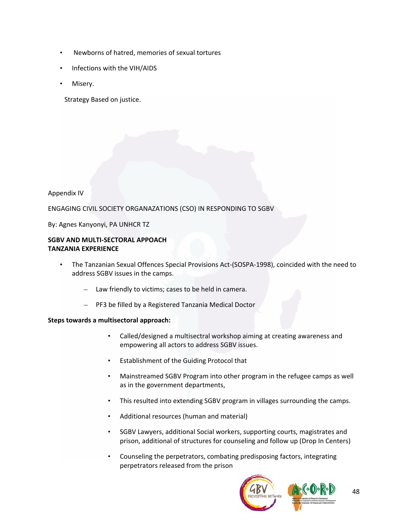- Newborns of hatred, memories of sexual tortures
- Infections with the VIH/AIDS
- Misery.

Strategy Based on justice.

## Appendix IV

ENGAGING CIVIL SOCIETY ORGANAZATIONS (CSO) IN RESPONDING TO SGBV

By: Agnes Kanyonyi, PA UNHCR TZ

# **SGBV AND MULTI‐SECTORAL APPOACH TANZANIA EXPERIENCE**

- The Tanzanian Sexual Offences Special Provisions Act‐(SOSPA‐1998), coincided with the need to address SGBV issues in the camps.
	- Law friendly to victims; cases to be held in camera.
	- PF3 be filled by a Registered Tanzania Medical Doctor

### **Steps towards a multisectoral approach:**

- Called/designed a multisectral workshop aiming at creating awareness and empowering all actors to address SGBV issues.
- Establishment of the Guiding Protocol that
- Mainstreamed SGBV Program into other program in the refugee camps as well as in the government departments,
- This resulted into extending SGBV program in villages surrounding the camps.
- Additional resources (human and material)
- SGBV Lawyers, additional Social workers, supporting courts, magistrates and prison, additional of structures for counseling and follow up (Drop In Centers)
- Counseling the perpetrators, combating predisposing factors, integrating perpetrators released from the prison

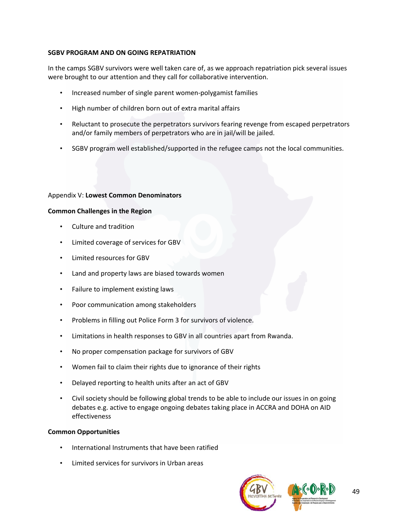## **SGBV PROGRAM AND ON GOING REPATRIATION**

In the camps SGBV survivors were well taken care of, as we approach repatriation pick several issues were brought to our attention and they call for collaborative intervention.

- Increased number of single parent women‐polygamist families
- High number of children born out of extra marital affairs
- Reluctant to prosecute the perpetrators survivors fearing revenge from escaped perpetrators and/or family members of perpetrators who are in jail/will be jailed.
- SGBV program well established/supported in the refugee camps not the local communities.

### Appendix V: **Lowest Common Denominators**

## **Common Challenges in the Region**

- Culture and tradition
- Limited coverage of services for GBV
- Limited resources for GBV
- Land and property laws are biased towards women
- Failure to implement existing laws
- Poor communication among stakeholders
- Problems in filling out Police Form 3 for survivors of violence.
- Limitations in health responses to GBV in all countries apart from Rwanda.
- No proper compensation package for survivors of GBV
- Women fail to claim their rights due to ignorance of their rights
- Delayed reporting to health units after an act of GBV
- Civil society should be following global trends to be able to include our issues in on going debates e.g. active to engage ongoing debates taking place in ACCRA and DOHA on AID effectiveness

### **Common Opportunities**

- International Instruments that have been ratified
- Limited services for survivors in Urban areas

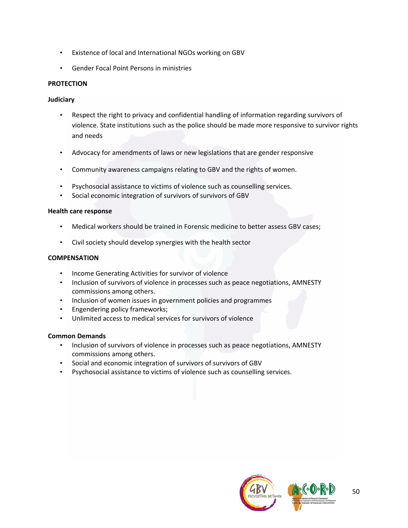- Existence of local and International NGOs working on GBV
- Gender Focal Point Persons in ministries

## **PROTECTION**

### **Judiciary**

- Respect the right to privacy and confidential handling of information regarding survivors of violence. State institutions such as the police should be made more responsive to survivor rights and needs
- Advocacy for amendments of laws or new legislations that are gender responsive
- Community awareness campaigns relating to GBV and the rights of women.
- Psychosocial assistance to victims of violence such as counselling services.
- Social economic integration of survivors of survivors of GBV

### **Health care response**

- Medical workers should be trained in Forensic medicine to better assess GBV cases;
- Civil society should develop synergies with the health sector

### **COMPENSATION**

- Income Generating Activities for survivor of violence
- Inclusion of survivors of violence in processes such as peace negotiations, AMNESTY commissions among others.
- Inclusion of women issues in government policies and programmes
- Engendering policy frameworks;
- Unlimited access to medical services for survivors of violence

### **Common Demands**

- Inclusion of survivors of violence in processes such as peace negotiations, AMNESTY commissions among others.
- Social and economic integration of survivors of survivors of GBV
- Psychosocial assistance to victims of violence such as counselling services.

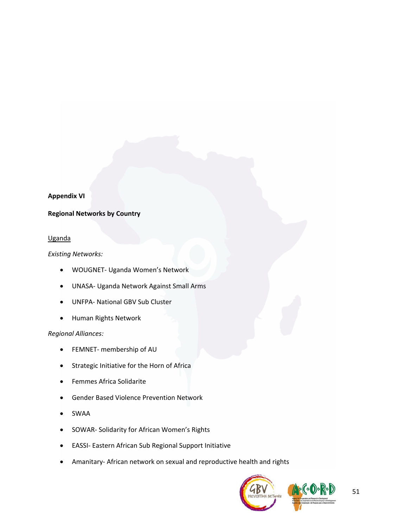### **Appendix VI**

#### **Regional Networks by Country**

#### Uganda

*Existing Networks:*

- WOUGNET‐ Uganda Women's Network
- UNASA‐ Uganda Network Against Small Arms
- UNFPA‐ National GBV Sub Cluster
- Human Rights Network

### *Regional Alliances:*

- FEMNET‐ membership of AU
- Strategic Initiative for the Horn of Africa
- Femmes Africa Solidarite
- Gender Based Violence Prevention Network
- SWAA
- SOWAR‐ Solidarity for African Women's Rights
- EASSI‐ Eastern African Sub Regional Support Initiative
- Amanitary‐ African network on sexual and reproductive health and rights

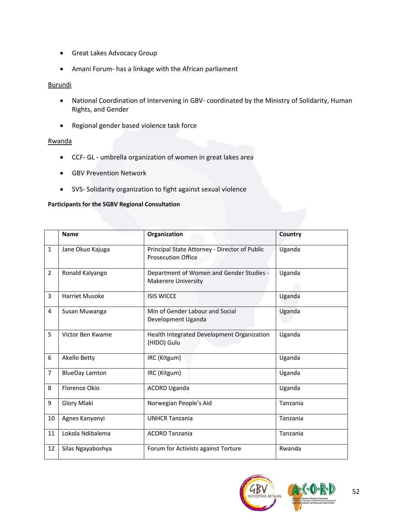- Great Lakes Advocacy Group
- Amani Forum‐ has a linkage with the African parliament

## **Burundi**

- National Coordination of Intervening in GBV‐ coordinated by the Ministry of Solidarity, Human Rights, and Gender
- Regional gender based violence task force

### Rwanda

- CCF‐ GL ‐ umbrella organization of women in great lakes area
- GBV Prevention Network
- SVS‐ Solidarity organization to fight against sexual violence

#### **Participants for the SGBV Regional Consultation**

|                | <b>Name</b>           | Organization                                                               | Country  |
|----------------|-----------------------|----------------------------------------------------------------------------|----------|
| $\mathbf{1}$   | Jane Okuo Kajuga      | Principal State Attorney - Director of Public<br><b>Prosecution Office</b> | Uganda   |
| $\overline{2}$ | Ronald Kalyango       | Department of Women and Gender Studies -<br><b>Makerere University</b>     | Uganda   |
| 3              | <b>Harriet Musoke</b> | <b>ISIS WICCE</b>                                                          | Uganda   |
| 4              | Susan Muwanga         | Min of Gender Labour and Social<br>Development Uganda                      | Uganda   |
| 5              | Victor Ben Kwame      | Health Integrated Development Organization<br>(HIDO) Gulu                  | Uganda   |
| 6              | Akello Betty          | IRC (Kitgum)                                                               | Uganda   |
| $\overline{7}$ | <b>BlueDay Lamton</b> | IRC (Kitgum)                                                               | Uganda   |
| 8              | <b>Florence Okio</b>  | <b>ACORD Uganda</b>                                                        | Uganda   |
| 9              | Glory Mlaki           | Norwegian People's Aid                                                     | Tanzania |
| 10             | Agnes Kanyonyi        | <b>UNHCR Tanzania</b>                                                      | Tanzania |
| 11             | Lokola Ndibalema      | <b>ACORD Tanzania</b>                                                      | Tanzania |
| 12             | Silas Ngayaboshya     | Forum for Activists against Torture                                        | Rwanda   |